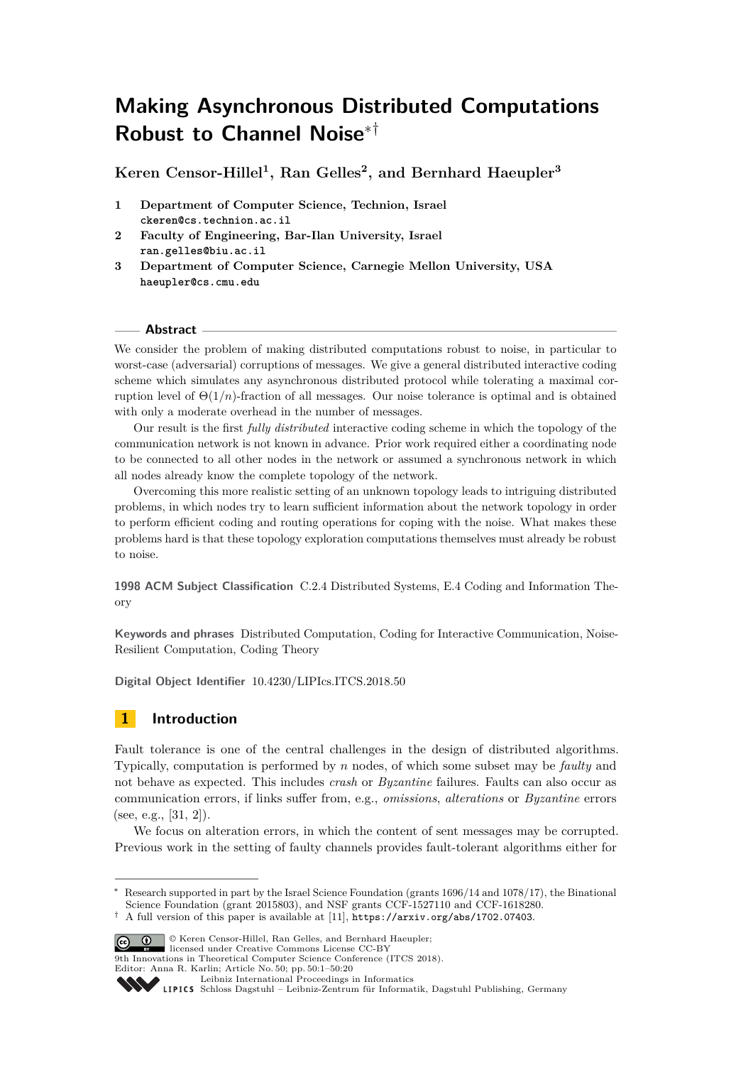# **Making Asynchronous Distributed Computations Robust to Channel Noise**∗†

**Keren Censor-Hillel<sup>1</sup> , Ran Gelles<sup>2</sup> , and Bernhard Haeupler<sup>3</sup>**

- **1 Department of Computer Science, Technion, Israel ckeren@cs.technion.ac.il**
- **2 Faculty of Engineering, Bar-Ilan University, Israel ran.gelles@biu.ac.il**
- **3 Department of Computer Science, Carnegie Mellon University, USA haeupler@cs.cmu.edu**

#### **Abstract**

We consider the problem of making distributed computations robust to noise, in particular to worst-case (adversarial) corruptions of messages. We give a general distributed interactive coding scheme which simulates any asynchronous distributed protocol while tolerating a maximal corruption level of  $\Theta(1/n)$ -fraction of all messages. Our noise tolerance is optimal and is obtained with only a moderate overhead in the number of messages.

Our result is the first *fully distributed* interactive coding scheme in which the topology of the communication network is not known in advance. Prior work required either a coordinating node to be connected to all other nodes in the network or assumed a synchronous network in which all nodes already know the complete topology of the network.

Overcoming this more realistic setting of an unknown topology leads to intriguing distributed problems, in which nodes try to learn sufficient information about the network topology in order to perform efficient coding and routing operations for coping with the noise. What makes these problems hard is that these topology exploration computations themselves must already be robust to noise.

**1998 ACM Subject Classification** C.2.4 Distributed Systems, E.4 Coding and Information Theory

**Keywords and phrases** Distributed Computation, Coding for Interactive Communication, Noise-Resilient Computation, Coding Theory

**Digital Object Identifier** [10.4230/LIPIcs.ITCS.2018.50](http://dx.doi.org/10.4230/LIPIcs.ITCS.2018.50)

# **1 Introduction**

Fault tolerance is one of the central challenges in the design of distributed algorithms. Typically, computation is performed by *n* nodes, of which some subset may be *faulty* and not behave as expected. This includes *crash* or *Byzantine* failures. Faults can also occur as communication errors, if links suffer from, e.g., *omissions*, *alterations* or *Byzantine* errors (see, e.g., [\[31,](#page-19-0) [2\]](#page-17-0)).

We focus on alteration errors, in which the content of sent messages may be corrupted. Previous work in the setting of faulty channels provides fault-tolerant algorithms either for

<sup>†</sup> A full version of this paper is available at [\[11\]](#page-17-1), <https://arxiv.org/abs/1702.07403>.



9th Innovations in Theoretical Computer Science Conference (ITCS 2018).

Editor: Anna R. Karlin; Article No. 50; pp. 50:1–50[:20](#page-19-1)

Research supported in part by the Israel Science Foundation (grants 1696/14 and 1078/17), the Binational Science Foundation (grant 2015803), and NSF grants CCF-1527110 and CCF-1618280.

[Leibniz International Proceedings in Informatics](http://www.dagstuhl.de/lipics/)

[Schloss Dagstuhl – Leibniz-Zentrum für Informatik, Dagstuhl Publishing, Germany](http://www.dagstuhl.de)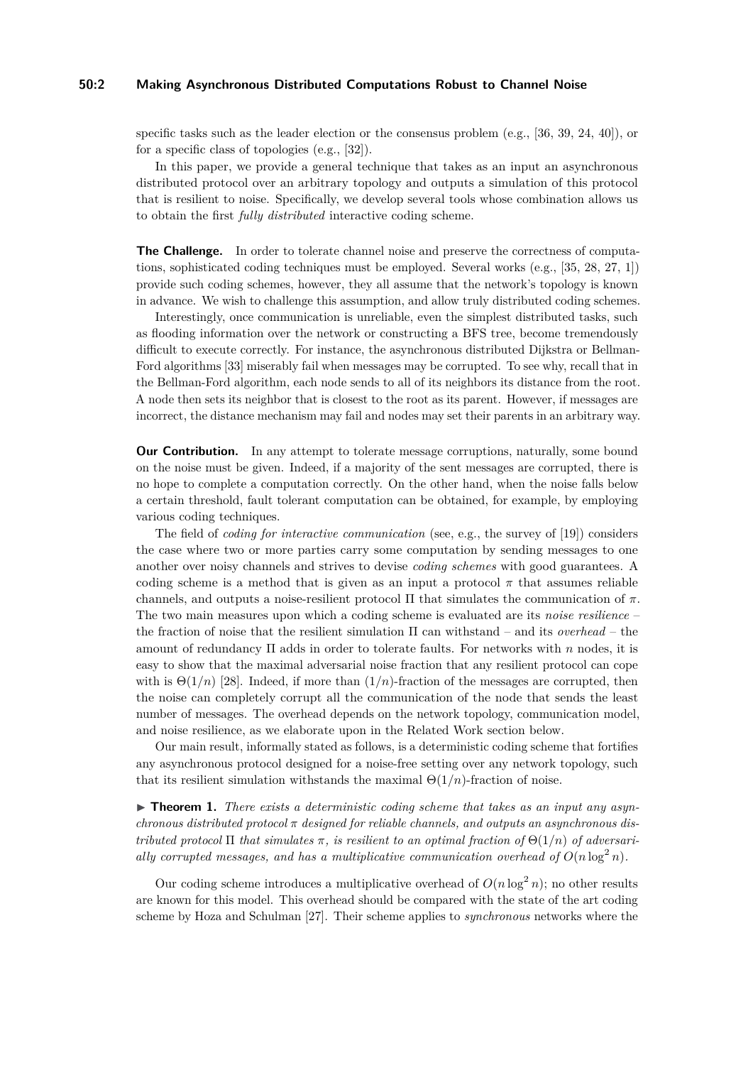## **50:2 Making Asynchronous Distributed Computations Robust to Channel Noise**

specific tasks such as the leader election or the consensus problem (e.g., [\[36,](#page-19-2) [39,](#page-19-3) [24,](#page-18-0) [40\]](#page-19-4)), or for a specific class of topologies (e.g., [\[32\]](#page-19-5)).

In this paper, we provide a general technique that takes as an input an asynchronous distributed protocol over an arbitrary topology and outputs a simulation of this protocol that is resilient to noise. Specifically, we develop several tools whose combination allows us to obtain the first *fully distributed* interactive coding scheme.

**The Challenge.** In order to tolerate channel noise and preserve the correctness of computations, sophisticated coding techniques must be employed. Several works (e.g., [\[35,](#page-19-6) [28,](#page-19-7) [27,](#page-19-8) [1\]](#page-17-2)) provide such coding schemes, however, they all assume that the network's topology is known in advance. We wish to challenge this assumption, and allow truly distributed coding schemes.

Interestingly, once communication is unreliable, even the simplest distributed tasks, such as flooding information over the network or constructing a BFS tree, become tremendously difficult to execute correctly. For instance, the asynchronous distributed Dijkstra or Bellman-Ford algorithms [\[33\]](#page-19-9) miserably fail when messages may be corrupted. To see why, recall that in the Bellman-Ford algorithm, each node sends to all of its neighbors its distance from the root. A node then sets its neighbor that is closest to the root as its parent. However, if messages are incorrect, the distance mechanism may fail and nodes may set their parents in an arbitrary way.

**Our Contribution.** In any attempt to tolerate message corruptions, naturally, some bound on the noise must be given. Indeed, if a majority of the sent messages are corrupted, there is no hope to complete a computation correctly. On the other hand, when the noise falls below a certain threshold, fault tolerant computation can be obtained, for example, by employing various coding techniques.

The field of *coding for interactive communication* (see, e.g., the survey of [\[19\]](#page-18-1)) considers the case where two or more parties carry some computation by sending messages to one another over noisy channels and strives to devise *coding schemes* with good guarantees. A coding scheme is a method that is given as an input a protocol  $\pi$  that assumes reliable channels, and outputs a noise-resilient protocol  $\Pi$  that simulates the communication of  $\pi$ . The two main measures upon which a coding scheme is evaluated are its *noise resilience* – the fraction of noise that the resilient simulation Π can withstand – and its *overhead* – the amount of redundancy Π adds in order to tolerate faults. For networks with *n* nodes, it is easy to show that the maximal adversarial noise fraction that any resilient protocol can cope with is  $\Theta(1/n)$  [\[28\]](#page-19-7). Indeed, if more than  $(1/n)$ -fraction of the messages are corrupted, then the noise can completely corrupt all the communication of the node that sends the least number of messages. The overhead depends on the network topology, communication model, and noise resilience, as we elaborate upon in the Related Work section below.

Our main result, informally stated as follows, is a deterministic coding scheme that fortifies any asynchronous protocol designed for a noise-free setting over any network topology, such that its resilient simulation withstands the maximal  $\Theta(1/n)$ -fraction of noise.

▶ **Theorem 1.** *There exists a deterministic coding scheme that takes as an input any asynchronous distributed protocol π designed for reliable channels, and outputs an asynchronous distributed protocol*  $\Pi$  *that simulates*  $\pi$ *, is resilient to an optimal fraction of*  $\Theta(1/n)$  *of adversarially corrupted messages, and has a multiplicative communication overhead of*  $O(n \log^2 n)$ .

Our coding scheme introduces a multiplicative overhead of  $O(n \log^2 n)$ ; no other results are known for this model. This overhead should be compared with the state of the art coding scheme by Hoza and Schulman [\[27\]](#page-19-8). Their scheme applies to *synchronous* networks where the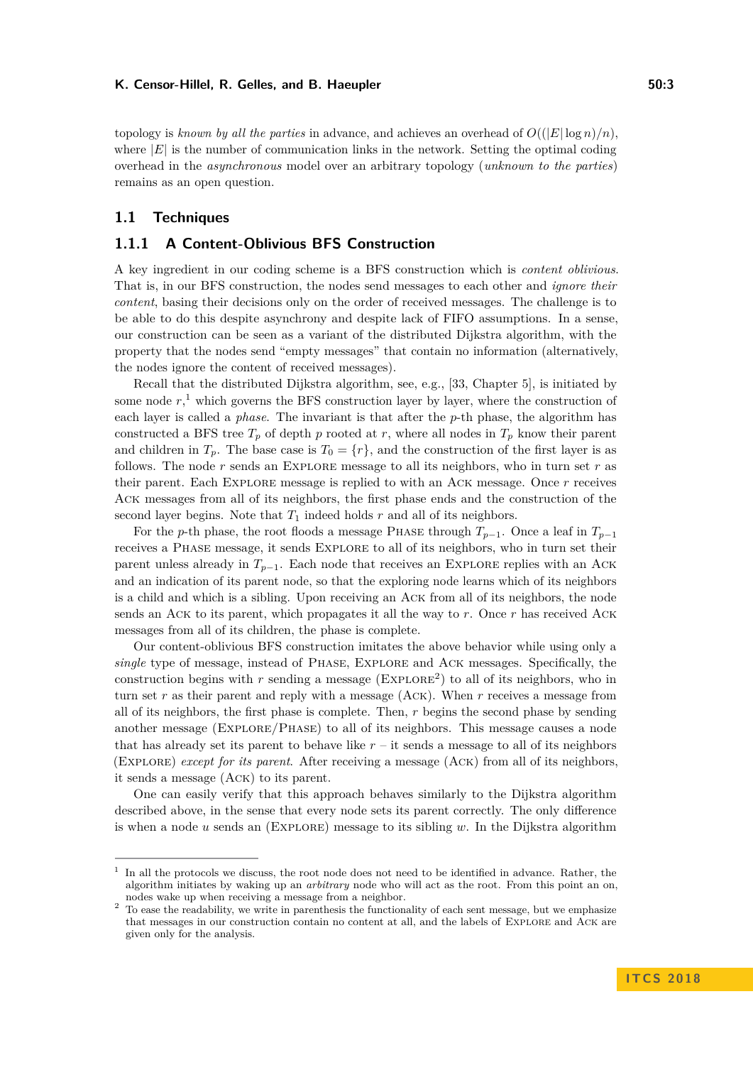#### K. Censor-Hillel, R. Gelles, and B. Haeupler **50:3 50:3**

topology is *known by all the parties* in advance, and achieves an overhead of  $O((|E| \log n)/n)$ . where  $|E|$  is the number of communication links in the network. Setting the optimal coding overhead in the *asynchronous* model over an arbitrary topology (*unknown to the parties*) remains as an open question.

## **1.1 Techniques**

## **1.1.1 A Content-Oblivious BFS Construction**

A key ingredient in our coding scheme is a BFS construction which is *content oblivious*. That is, in our BFS construction, the nodes send messages to each other and *ignore their content*, basing their decisions only on the order of received messages. The challenge is to be able to do this despite asynchrony and despite lack of FIFO assumptions. In a sense, our construction can be seen as a variant of the distributed Dijkstra algorithm, with the property that the nodes send "empty messages" that contain no information (alternatively, the nodes ignore the content of received messages).

Recall that the distributed Dijkstra algorithm, see, e.g., [\[33,](#page-19-9) Chapter 5], is initiated by some node  $r$ ,<sup>[1](#page-2-0)</sup> which governs the BFS construction layer by layer, where the construction of each layer is called a *phase*. The invariant is that after the *p*-th phase, the algorithm has constructed a BFS tree  $T_p$  of depth *p* rooted at *r*, where all nodes in  $T_p$  know their parent and children in  $T_p$ . The base case is  $T_0 = \{r\}$ , and the construction of the first layer is as follows. The node *r* sends an Explore message to all its neighbors, who in turn set *r* as their parent. Each Explore message is replied to with an Ack message. Once *r* receives Ack messages from all of its neighbors, the first phase ends and the construction of the second layer begins. Note that  $T_1$  indeed holds  $r$  and all of its neighbors.

For the *p*-th phase, the root floods a message PHASE through  $T_{p-1}$ . Once a leaf in  $T_{p-1}$ receives a Phase message, it sends Explore to all of its neighbors, who in turn set their parent unless already in  $T_{p-1}$ . Each node that receives an EXPLORE replies with an ACK and an indication of its parent node, so that the exploring node learns which of its neighbors is a child and which is a sibling. Upon receiving an Ack from all of its neighbors, the node sends an Ack to its parent, which propagates it all the way to *r*. Once *r* has received Ack messages from all of its children, the phase is complete.

Our content-oblivious BFS construction imitates the above behavior while using only a *single* type of message, instead of Phase, Explore and Ack messages. Specifically, the construction begins with  $r$  sending a message ( $EXPLORE<sup>2</sup>$  $EXPLORE<sup>2</sup>$  $EXPLORE<sup>2</sup>$ ) to all of its neighbors, who in turn set *r* as their parent and reply with a message (Ack). When *r* receives a message from all of its neighbors, the first phase is complete. Then, *r* begins the second phase by sending another message (Explore/Phase) to all of its neighbors. This message causes a node that has already set its parent to behave like  $r -$  it sends a message to all of its neighbors (Explore) *except for its parent*. After receiving a message (Ack) from all of its neighbors, it sends a message (Ack) to its parent.

One can easily verify that this approach behaves similarly to the Dijkstra algorithm described above, in the sense that every node sets its parent correctly. The only difference is when a node *u* sends an (Explore) message to its sibling *w*. In the Dijkstra algorithm

<span id="page-2-0"></span><sup>&</sup>lt;sup>1</sup> In all the protocols we discuss, the root node does not need to be identified in advance. Rather, the algorithm initiates by waking up an *arbitrary* node who will act as the root. From this point an on, nodes wake up when receiving a message from a neighbor.

<span id="page-2-1"></span><sup>&</sup>lt;sup>2</sup> To ease the readability, we write in parenthesis the functionality of each sent message, but we emphasize that messages in our construction contain no content at all, and the labels of Explore and Ack are given only for the analysis.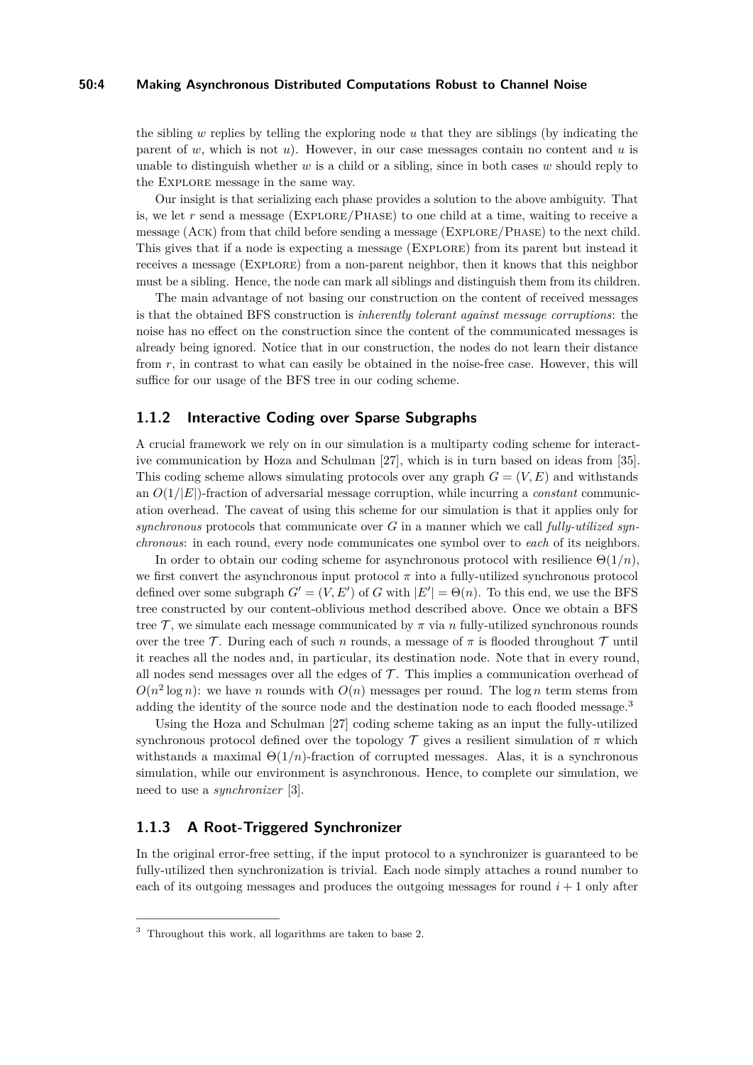#### **50:4 Making Asynchronous Distributed Computations Robust to Channel Noise**

the sibling *w* replies by telling the exploring node *u* that they are siblings (by indicating the parent of *w*, which is not *u*). However, in our case messages contain no content and *u* is unable to distinguish whether *w* is a child or a sibling, since in both cases *w* should reply to the Explore message in the same way.

Our insight is that serializing each phase provides a solution to the above ambiguity. That is, we let *r* send a message (Explore/Phase) to one child at a time, waiting to receive a message (Ack) from that child before sending a message (Explore/Phase) to the next child. This gives that if a node is expecting a message (Explore) from its parent but instead it receives a message (Explore) from a non-parent neighbor, then it knows that this neighbor must be a sibling. Hence, the node can mark all siblings and distinguish them from its children.

The main advantage of not basing our construction on the content of received messages is that the obtained BFS construction is *inherently tolerant against message corruptions*: the noise has no effect on the construction since the content of the communicated messages is already being ignored. Notice that in our construction, the nodes do not learn their distance from *r*, in contrast to what can easily be obtained in the noise-free case. However, this will suffice for our usage of the BFS tree in our coding scheme.

## **1.1.2 Interactive Coding over Sparse Subgraphs**

A crucial framework we rely on in our simulation is a multiparty coding scheme for interactive communication by Hoza and Schulman [\[27\]](#page-19-8), which is in turn based on ideas from [\[35\]](#page-19-6). This coding scheme allows simulating protocols over any graph  $G = (V, E)$  and withstands an  $O(1/|E|)$ -fraction of adversarial message corruption, while incurring a *constant* communication overhead. The caveat of using this scheme for our simulation is that it applies only for *synchronous* protocols that communicate over *G* in a manner which we call *fully-utilized synchronous*: in each round, every node communicates one symbol over to *each* of its neighbors.

In order to obtain our coding scheme for asynchronous protocol with resilience Θ(1*/n*), we first convert the asynchronous input protocol  $\pi$  into a fully-utilized synchronous protocol defined over some subgraph  $G' = (V, E')$  of *G* with  $|E'| = \Theta(n)$ . To this end, we use the BFS tree constructed by our content-oblivious method described above. Once we obtain a BFS tree  $\mathcal{T}$ , we simulate each message communicated by  $\pi$  via *n* fully-utilized synchronous rounds over the tree T. During each of such *n* rounds, a message of  $\pi$  is flooded throughout T until it reaches all the nodes and, in particular, its destination node. Note that in every round, all nodes send messages over all the edges of  $\mathcal T$ . This implies a communication overhead of  $O(n^2 \log n)$ : we have *n* rounds with  $O(n)$  messages per round. The log *n* term stems from adding the identity of the source node and the destination node to each flooded message.<sup>[3](#page-3-0)</sup>

Using the Hoza and Schulman [\[27\]](#page-19-8) coding scheme taking as an input the fully-utilized synchronous protocol defined over the topology  $\mathcal T$  gives a resilient simulation of  $\pi$  which withstands a maximal  $\Theta(1/n)$ -fraction of corrupted messages. Alas, it is a synchronous simulation, while our environment is asynchronous. Hence, to complete our simulation, we need to use a *synchronizer* [\[3\]](#page-17-3).

# **1.1.3 A Root-Triggered Synchronizer**

In the original error-free setting, if the input protocol to a synchronizer is guaranteed to be fully-utilized then synchronization is trivial. Each node simply attaches a round number to each of its outgoing messages and produces the outgoing messages for round  $i + 1$  only after

<span id="page-3-0"></span><sup>&</sup>lt;sup>3</sup> Throughout this work, all logarithms are taken to base 2.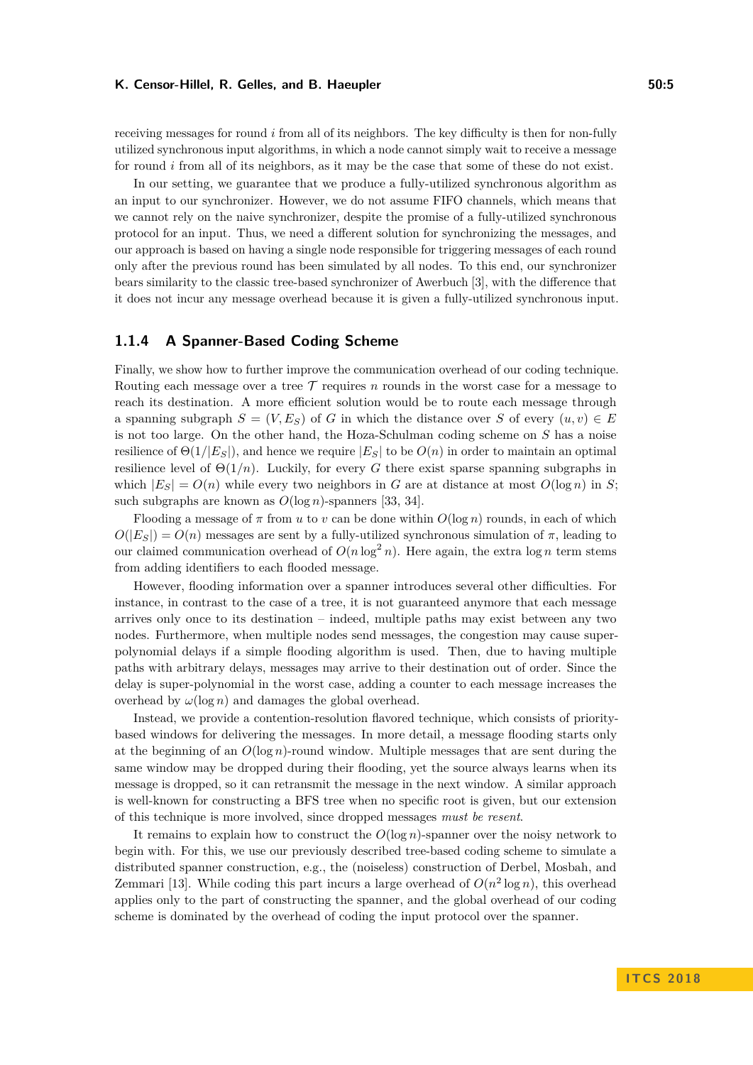#### K. Censor-Hillel, R. Gelles, and B. Haeupler **50:5** and  $\overline{50:5}$

receiving messages for round *i* from all of its neighbors. The key difficulty is then for non-fully utilized synchronous input algorithms, in which a node cannot simply wait to receive a message for round *i* from all of its neighbors, as it may be the case that some of these do not exist.

In our setting, we guarantee that we produce a fully-utilized synchronous algorithm as an input to our synchronizer. However, we do not assume FIFO channels, which means that we cannot rely on the naive synchronizer, despite the promise of a fully-utilized synchronous protocol for an input. Thus, we need a different solution for synchronizing the messages, and our approach is based on having a single node responsible for triggering messages of each round only after the previous round has been simulated by all nodes. To this end, our synchronizer bears similarity to the classic tree-based synchronizer of Awerbuch [\[3\]](#page-17-3), with the difference that it does not incur any message overhead because it is given a fully-utilized synchronous input.

## **1.1.4 A Spanner-Based Coding Scheme**

Finally, we show how to further improve the communication overhead of our coding technique. Routing each message over a tree  $\mathcal T$  requires *n* rounds in the worst case for a message to reach its destination. A more efficient solution would be to route each message through a spanning subgraph  $S = (V, E_S)$  of *G* in which the distance over *S* of every  $(u, v) \in E$ is not too large. On the other hand, the Hoza-Schulman coding scheme on *S* has a noise resilience of  $\Theta(1/|E_S|)$ , and hence we require  $|E_S|$  to be  $O(n)$  in order to maintain an optimal resilience level of  $\Theta(1/n)$ . Luckily, for every *G* there exist sparse spanning subgraphs in which  $|E_S| = O(n)$  while every two neighbors in *G* are at distance at most  $O(\log n)$  in *S*; such subgraphs are known as *O*(log *n*)-spanners [\[33,](#page-19-9) [34\]](#page-19-10).

Flooding a message of  $\pi$  from  $u$  to  $v$  can be done within  $O(\log n)$  rounds, in each of which  $O(|E_S|) = O(n)$  messages are sent by a fully-utilized synchronous simulation of  $\pi$ , leading to our claimed communication overhead of  $O(n \log^2 n)$ . Here again, the extra  $\log n$  term stems from adding identifiers to each flooded message.

However, flooding information over a spanner introduces several other difficulties. For instance, in contrast to the case of a tree, it is not guaranteed anymore that each message arrives only once to its destination – indeed, multiple paths may exist between any two nodes. Furthermore, when multiple nodes send messages, the congestion may cause superpolynomial delays if a simple flooding algorithm is used. Then, due to having multiple paths with arbitrary delays, messages may arrive to their destination out of order. Since the delay is super-polynomial in the worst case, adding a counter to each message increases the overhead by  $\omega(\log n)$  and damages the global overhead.

Instead, we provide a contention-resolution flavored technique, which consists of prioritybased windows for delivering the messages. In more detail, a message flooding starts only at the beginning of an  $O(\log n)$ -round window. Multiple messages that are sent during the same window may be dropped during their flooding, yet the source always learns when its message is dropped, so it can retransmit the message in the next window. A similar approach is well-known for constructing a BFS tree when no specific root is given, but our extension of this technique is more involved, since dropped messages *must be resent*.

It remains to explain how to construct the *O*(log *n*)-spanner over the noisy network to begin with. For this, we use our previously described tree-based coding scheme to simulate a distributed spanner construction, e.g., the (noiseless) construction of Derbel, Mosbah, and Zemmari [\[13\]](#page-18-2). While coding this part incurs a large overhead of  $O(n^2 \log n)$ , this overhead applies only to the part of constructing the spanner, and the global overhead of our coding scheme is dominated by the overhead of coding the input protocol over the spanner.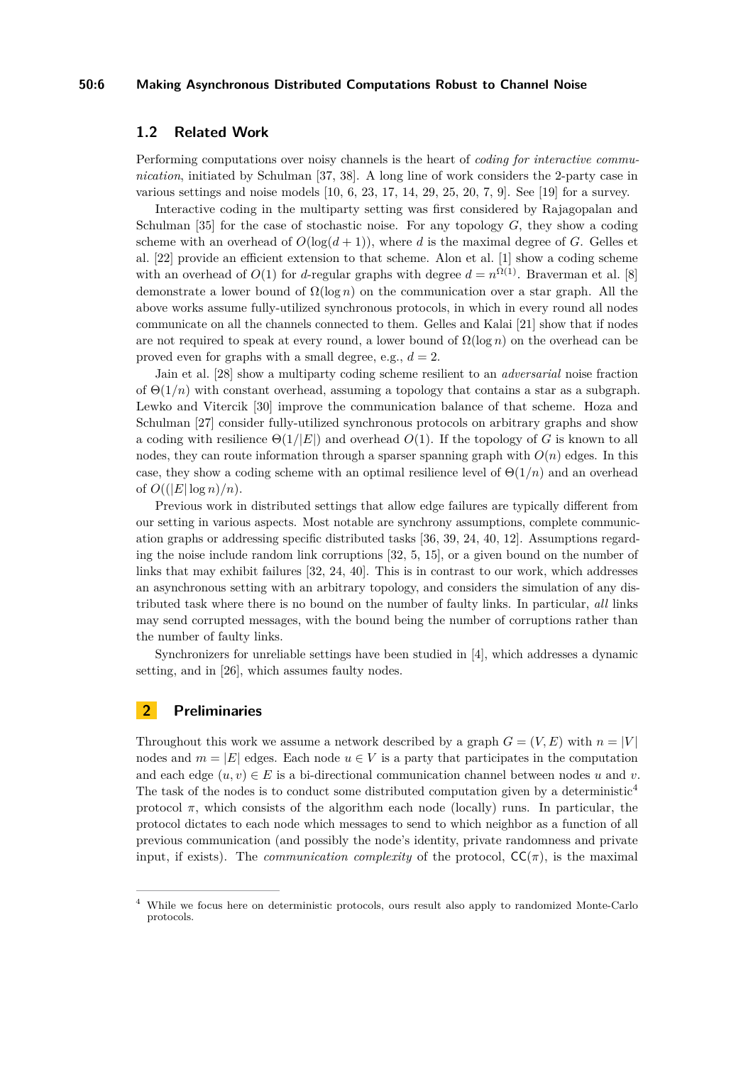#### **50:6 Making Asynchronous Distributed Computations Robust to Channel Noise**

## **1.2 Related Work**

Performing computations over noisy channels is the heart of *coding for interactive communication*, initiated by Schulman [\[37,](#page-19-11) [38\]](#page-19-12). A long line of work considers the 2-party case in various settings and noise models  $[10, 6, 23, 17, 14, 29, 25, 20, 7, 9]$  $[10, 6, 23, 17, 14, 29, 25, 20, 7, 9]$  $[10, 6, 23, 17, 14, 29, 25, 20, 7, 9]$  $[10, 6, 23, 17, 14, 29, 25, 20, 7, 9]$  $[10, 6, 23, 17, 14, 29, 25, 20, 7, 9]$  $[10, 6, 23, 17, 14, 29, 25, 20, 7, 9]$  $[10, 6, 23, 17, 14, 29, 25, 20, 7, 9]$  $[10, 6, 23, 17, 14, 29, 25, 20, 7, 9]$  $[10, 6, 23, 17, 14, 29, 25, 20, 7, 9]$  $[10, 6, 23, 17, 14, 29, 25, 20, 7, 9]$ . See  $[19]$  for a survey.

Interactive coding in the multiparty setting was first considered by Rajagopalan and Schulman [\[35\]](#page-19-6) for the case of stochastic noise. For any topology *G*, they show a coding scheme with an overhead of  $O(\log(d+1))$ , where *d* is the maximal degree of *G*. Gelles et al. [\[22\]](#page-18-8) provide an efficient extension to that scheme. Alon et al. [\[1\]](#page-17-2) show a coding scheme with an overhead of  $O(1)$  for *d*-regular graphs with degree  $d = n^{\Omega(1)}$ . Braverman et al. [\[8\]](#page-17-8) demonstrate a lower bound of Ω(log *n*) on the communication over a star graph. All the above works assume fully-utilized synchronous protocols, in which in every round all nodes communicate on all the channels connected to them. Gelles and Kalai [\[21\]](#page-18-9) show that if nodes are not required to speak at every round, a lower bound of  $\Omega(\log n)$  on the overhead can be proved even for graphs with a small degree, e.g.,  $d = 2$ .

Jain et al. [\[28\]](#page-19-7) show a multiparty coding scheme resilient to an *adversarial* noise fraction of  $\Theta(1/n)$  with constant overhead, assuming a topology that contains a star as a subgraph. Lewko and Vitercik [\[30\]](#page-19-14) improve the communication balance of that scheme. Hoza and Schulman [\[27\]](#page-19-8) consider fully-utilized synchronous protocols on arbitrary graphs and show a coding with resilience  $\Theta(1/|E|)$  and overhead  $O(1)$ . If the topology of *G* is known to all nodes, they can route information through a sparser spanning graph with  $O(n)$  edges. In this case, they show a coding scheme with an optimal resilience level of  $\Theta(1/n)$  and an overhead of  $O((|E|\log n)/n)$ .

Previous work in distributed settings that allow edge failures are typically different from our setting in various aspects. Most notable are synchrony assumptions, complete communication graphs or addressing specific distributed tasks [\[36,](#page-19-2) [39,](#page-19-3) [24,](#page-18-0) [40,](#page-19-4) [12\]](#page-18-10). Assumptions regarding the noise include random link corruptions [\[32,](#page-19-5) [5,](#page-17-9) [15\]](#page-18-11), or a given bound on the number of links that may exhibit failures [\[32,](#page-19-5) [24,](#page-18-0) [40\]](#page-19-4). This is in contrast to our work, which addresses an asynchronous setting with an arbitrary topology, and considers the simulation of any distributed task where there is no bound on the number of faulty links. In particular, *all* links may send corrupted messages, with the bound being the number of corruptions rather than the number of faulty links.

Synchronizers for unreliable settings have been studied in [\[4\]](#page-17-10), which addresses a dynamic setting, and in [\[26\]](#page-18-12), which assumes faulty nodes.

## **2 Preliminaries**

Throughout this work we assume a network described by a graph  $G = (V, E)$  with  $n = |V|$ nodes and  $m = |E|$  edges. Each node  $u \in V$  is a party that participates in the computation and each edge  $(u, v) \in E$  is a bi-directional communication channel between nodes *u* and *v*. The task of the nodes is to conduct some distributed computation given by a deterministic<sup>[4](#page-5-0)</sup> protocol  $\pi$ , which consists of the algorithm each node (locally) runs. In particular, the protocol dictates to each node which messages to send to which neighbor as a function of all previous communication (and possibly the node's identity, private randomness and private input, if exists). The *communication complexity* of the protocol,  $\mathsf{CC}(\pi)$ , is the maximal

<span id="page-5-0"></span><sup>4</sup> While we focus here on deterministic protocols, ours result also apply to randomized Monte-Carlo protocols.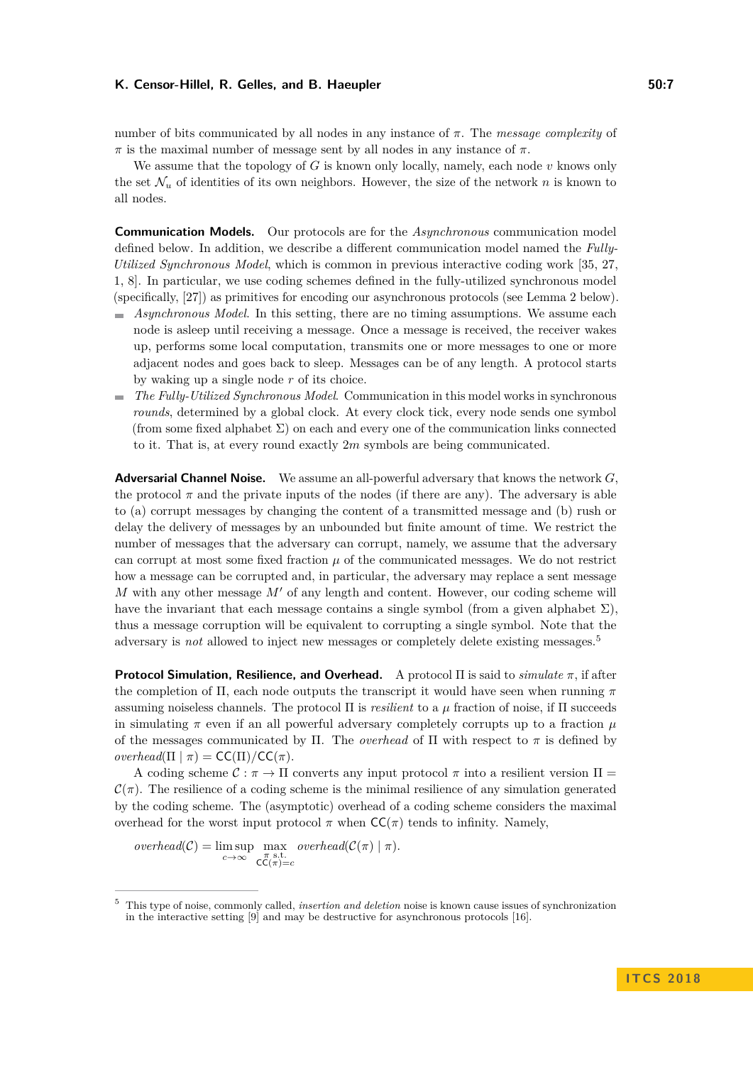#### K. Censor-Hillel, R. Gelles, and B. Haeupler **50:7 50:7 50:7**

number of bits communicated by all nodes in any instance of *π*. The *message complexity* of *π* is the maximal number of message sent by all nodes in any instance of *π*.

We assume that the topology of *G* is known only locally, namely, each node *v* knows only the set  $\mathcal{N}_u$  of identities of its own neighbors. However, the size of the network *n* is known to all nodes.

**Communication Models.** Our protocols are for the *Asynchronous* communication model defined below. In addition, we describe a different communication model named the *Fully-Utilized Synchronous Model*, which is common in previous interactive coding work [\[35,](#page-19-6) [27,](#page-19-8) [1,](#page-17-2) [8\]](#page-17-8). In particular, we use coding schemes defined in the fully-utilized synchronous model (specifically, [\[27\]](#page-19-8)) as primitives for encoding our asynchronous protocols (see Lemma [2](#page-7-0) below).

- *Asynchronous Model*. In this setting, there are no timing assumptions. We assume each node is asleep until receiving a message. Once a message is received, the receiver wakes up, performs some local computation, transmits one or more messages to one or more adjacent nodes and goes back to sleep. Messages can be of any length. A protocol starts by waking up a single node *r* of its choice.
- *The Fully-Utilized Synchronous Model*. Communication in this model works in synchronous *rounds*, determined by a global clock. At every clock tick, every node sends one symbol (from some fixed alphabet  $\Sigma$ ) on each and every one of the communication links connected to it. That is, at every round exactly 2*m* symbols are being communicated.

**Adversarial Channel Noise.** We assume an all-powerful adversary that knows the network *G*, the protocol  $\pi$  and the private inputs of the nodes (if there are any). The adversary is able to (a) corrupt messages by changing the content of a transmitted message and (b) rush or delay the delivery of messages by an unbounded but finite amount of time. We restrict the number of messages that the adversary can corrupt, namely, we assume that the adversary can corrupt at most some fixed fraction  $\mu$  of the communicated messages. We do not restrict how a message can be corrupted and, in particular, the adversary may replace a sent message *M* with any other message  $M'$  of any length and content. However, our coding scheme will have the invariant that each message contains a single symbol (from a given alphabet  $\Sigma$ ), thus a message corruption will be equivalent to corrupting a single symbol. Note that the adversary is *not* allowed to inject new messages or completely delete existing messages.[5](#page-6-0)

**Protocol Simulation, Resilience, and Overhead.** A protocol Π is said to *simulate π*, if after the completion of Π, each node outputs the transcript it would have seen when running *π* assuming noiseless channels. The protocol Π is *resilient* to a *µ* fraction of noise, if Π succeeds in simulating  $\pi$  even if an all powerful adversary completely corrupts up to a fraction  $\mu$ of the messages communicated by Π. The *overhead* of Π with respect to *π* is defined by  $overhead(\Pi | \pi) = CC(\Pi)/CC(\pi)$ .

A coding scheme  $\mathcal{C} : \pi \to \Pi$  converts any input protocol  $\pi$  into a resilient version  $\Pi =$  $\mathcal{C}(\pi)$ . The resilience of a coding scheme is the minimal resilience of any simulation generated by the coding scheme. The (asymptotic) overhead of a coding scheme considers the maximal overhead for the worst input protocol  $\pi$  when  $\mathsf{CC}(\pi)$  tends to infinity. Namely,

 $overhead(C) = \limsup$  max  $overhead(C(\pi) | \pi)$ .  $c \rightarrow \infty$ <sup>*π*</sup> s.t.<br>CC(*π*)=*c* 

**I T C S 2 0 1 8**

<span id="page-6-0"></span><sup>5</sup> This type of noise, commonly called, *insertion and deletion* noise is known cause issues of synchronization in the interactive setting [\[9\]](#page-17-7) and may be destructive for asynchronous protocols [\[16\]](#page-18-13).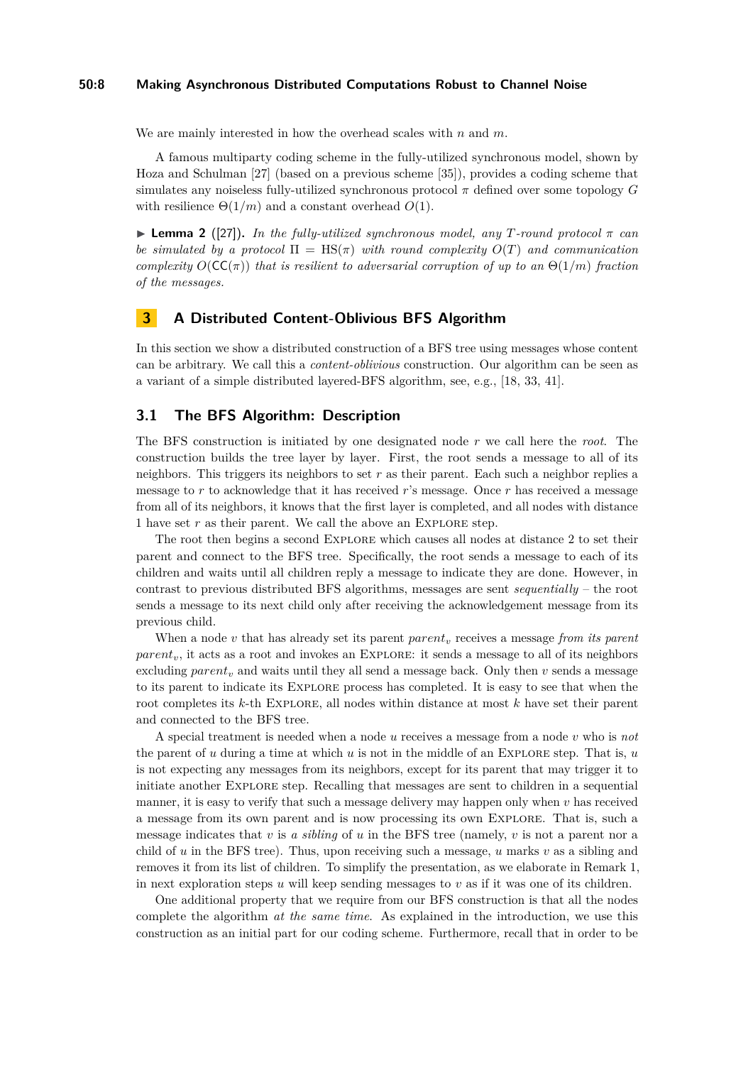#### **50:8 Making Asynchronous Distributed Computations Robust to Channel Noise**

We are mainly interested in how the overhead scales with *n* and *m*.

A famous multiparty coding scheme in the fully-utilized synchronous model, shown by Hoza and Schulman [\[27\]](#page-19-8) (based on a previous scheme [\[35\]](#page-19-6)), provides a coding scheme that simulates any noiseless fully-utilized synchronous protocol *π* defined over some topology *G* with resilience  $\Theta(1/m)$  and a constant overhead  $O(1)$ .

<span id="page-7-0"></span> $\triangleright$  **Lemma 2** ([\[27\]](#page-19-8)). *In the fully-utilized synchronous model, any T-round protocol*  $\pi$  *can be simulated by a protocol*  $\Pi = \text{HS}(\pi)$  *with round complexity*  $O(T)$  *and communication complexity*  $O(CC(\pi))$  *that is resilient to adversarial corruption of up to an*  $\Theta(1/m)$  *fraction of the messages.*

## <span id="page-7-1"></span>**3 A Distributed Content-Oblivious BFS Algorithm**

In this section we show a distributed construction of a BFS tree using messages whose content can be arbitrary. We call this a *content-oblivious* construction. Our algorithm can be seen as a variant of a simple distributed layered-BFS algorithm, see, e.g., [\[18,](#page-18-14) [33,](#page-19-9) [41\]](#page-19-15).

## **3.1 The BFS Algorithm: Description**

The BFS construction is initiated by one designated node *r* we call here the *root*. The construction builds the tree layer by layer. First, the root sends a message to all of its neighbors. This triggers its neighbors to set *r* as their parent. Each such a neighbor replies a message to *r* to acknowledge that it has received *r*'s message. Once *r* has received a message from all of its neighbors, it knows that the first layer is completed, and all nodes with distance 1 have set *r* as their parent. We call the above an EXPLORE step.

The root then begins a second Explore which causes all nodes at distance 2 to set their parent and connect to the BFS tree. Specifically, the root sends a message to each of its children and waits until all children reply a message to indicate they are done. However, in contrast to previous distributed BFS algorithms, messages are sent *sequentially* – the root sends a message to its next child only after receiving the acknowledgement message from its previous child.

When a node *v* that has already set its parent *parent<sub>v</sub>* receives a message *from its parent* parent<sub>v</sub>, it acts as a root and invokes an EXPLORE: it sends a message to all of its neighbors excluding  $parent_v$  and waits until they all send a message back. Only then  $v$  sends a message to its parent to indicate its Explore process has completed. It is easy to see that when the root completes its *k*-th Explore, all nodes within distance at most *k* have set their parent and connected to the BFS tree.

A special treatment is needed when a node *u* receives a message from a node *v* who is *not* the parent of *u* during a time at which *u* is not in the middle of an Explore step. That is, *u* is not expecting any messages from its neighbors, except for its parent that may trigger it to initiate another Explore step. Recalling that messages are sent to children in a sequential manner, it is easy to verify that such a message delivery may happen only when  $v$  has received a message from its own parent and is now processing its own Explore. That is, such a message indicates that *v* is *a sibling* of *u* in the BFS tree (namely, *v* is not a parent nor a child of *u* in the BFS tree). Thus, upon receiving such a message, *u* marks *v* as a sibling and removes it from its list of children. To simplify the presentation, as we elaborate in Remark [1,](#page-10-0) in next exploration steps  $u$  will keep sending messages to  $v$  as if it was one of its children.

One additional property that we require from our BFS construction is that all the nodes complete the algorithm *at the same time*. As explained in the introduction, we use this construction as an initial part for our coding scheme. Furthermore, recall that in order to be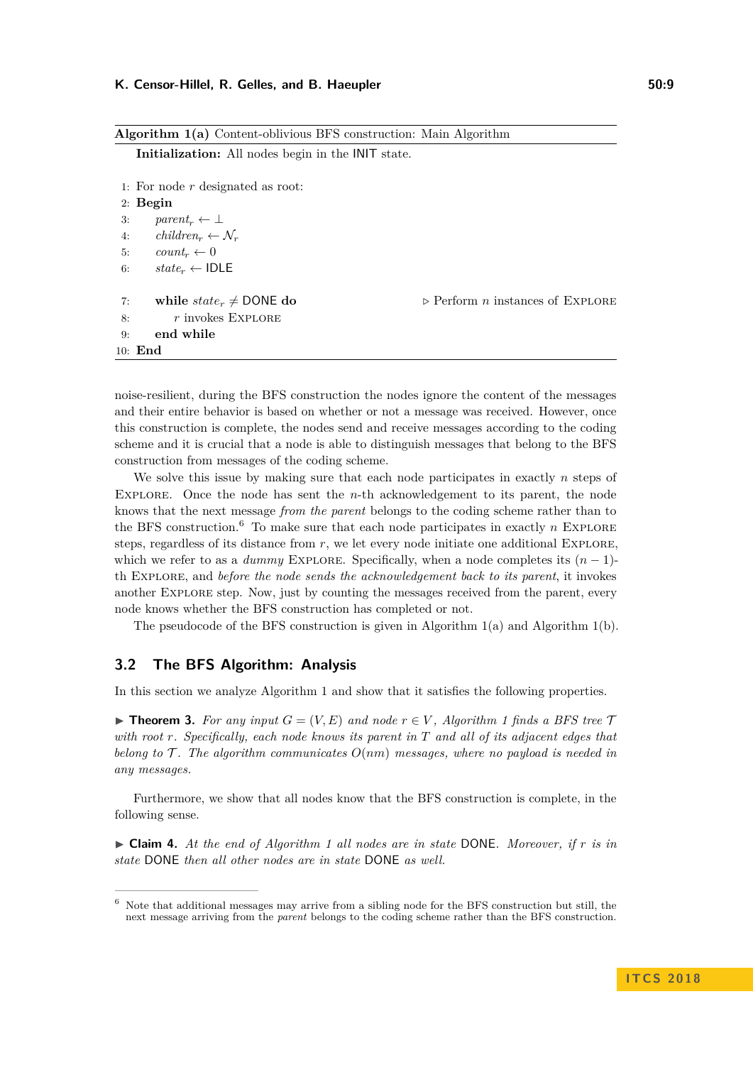#### K. Censor-Hillel, R. Gelles, and B. Haeupler **50:9 50:9**

```
Algorithm 1(a) Content-oblivious BFS construction: Main Algorithm
    Initialization: All nodes begin in the INIT state.
 1: For node r designated as root:
 2: Begin
 3: parent_r \leftarrow \perp4: children<sub>r</sub> \leftarrow \mathcal{N}_r5: count_r \leftarrow 06: state_r \leftarrow \text{IDLE}7: while state_r \neq \text{DONE} do \rightarrow \text{Perform } n \text{ instances of EXPLORE}8: r invokes Explore
 9: end while
10: End
```
noise-resilient, during the BFS construction the nodes ignore the content of the messages and their entire behavior is based on whether or not a message was received. However, once this construction is complete, the nodes send and receive messages according to the coding scheme and it is crucial that a node is able to distinguish messages that belong to the BFS construction from messages of the coding scheme.

We solve this issue by making sure that each node participates in exactly *n* steps of Explore. Once the node has sent the *n*-th acknowledgement to its parent, the node knows that the next message *from the parent* belongs to the coding scheme rather than to the BFS construction.<sup>[6](#page-8-0)</sup> To make sure that each node participates in exactly  $n$  EXPLORE steps, regardless of its distance from  $r$ , we let every node initiate one additional EXPLORE, which we refer to as a *dummy* EXPLORE. Specifically, when a node completes its  $(n-1)$ th Explore, and *before the node sends the acknowledgement back to its parent*, it invokes another Explore step. Now, just by counting the messages received from the parent, every node knows whether the BFS construction has completed or not.

The pseudocode of the BFS construction is given in Algorithm [1\(a\)](#page-8-1) and Algorithm [1\(b\).](#page-9-0)

## **3.2 The BFS Algorithm: Analysis**

In this section we analyze Algorithm 1 and show that it satisfies the following properties.

<span id="page-8-2"></span>▶ **Theorem 3.** For any input  $G = (V, E)$  and node  $r \in V$ , Algorithm 1 finds a BFS tree  $T$ *with root r. Specifically, each node knows its parent in T and all of its adjacent edges that belong to* T *. The algorithm communicates O*(*nm*) *messages, where no payload is needed in any messages.*

Furthermore, we show that all nodes know that the BFS construction is complete, in the following sense.

<span id="page-8-3"></span>I **Claim 4.** *At the end of Algorithm 1 all nodes are in state* DONE*. Moreover, if r is in state* DONE *then all other nodes are in state* DONE *as well.*

<span id="page-8-0"></span><sup>6</sup> Note that additional messages may arrive from a sibling node for the BFS construction but still, the next message arriving from the *parent* belongs to the coding scheme rather than the BFS construction.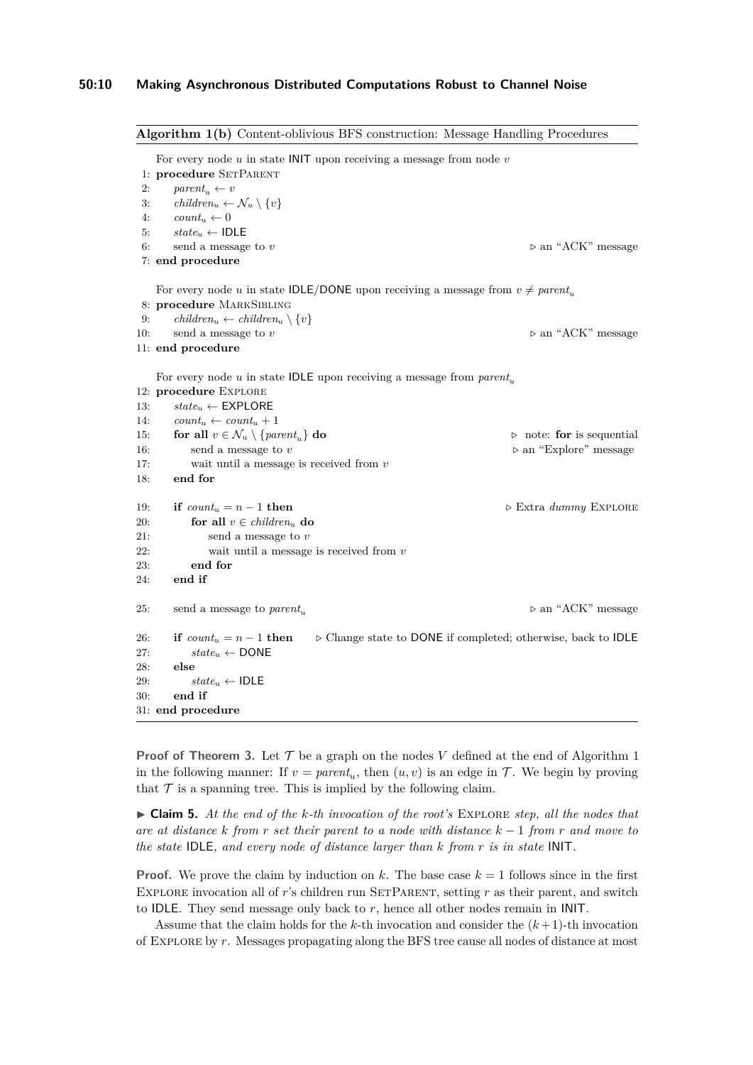```
Algorithm 1(b) Content-oblivious BFS construction: Message Handling Procedures
   For every node u in state INIT upon receiving a message from node v
1: procedure SETPARENT
2: parent_u \leftarrow v3: children<sub>u</sub> \leftarrow \mathcal{N}_u \setminus \{v\}4: count_u \leftarrow 05: state_u \leftarrow \text{IDLE}6: send a message to v b an "ACK" message to v7: end procedure
   For every node u in state IDLE/DONE upon receiving a message from v \neq parent_u8: procedure MarkSibling
9: children<sub>u</sub> ← children<sub>u</sub> \set{v}10: send a message to v \rhd an "ACK" message
11: end procedure
   For every node u in state IDLE upon receiving a message from parent<sub>u</sub>
12: procedure Explore
13: stateu ← EXPLORE
14: count_u \leftarrow count_u + 115: for all v \in \mathcal{N}_u \setminus \{parent_u\} do \triangleright note: for is sequential
16: send a message to v \triangleright an "Explore" message
17: wait until a message is received from v
18: end for
19: if count_u = n - 1 then \triangleright Extra dummy EXPLORE
20: for all v \in children_u do
21: send a message to v
22: wait until a message is received from v
23: end for
24: end if
25: send a message to parent<sub>u</sub> ... 25: \triangleright an "ACK" message
26: if count_u = n - 1 then \triangleright Change state to DONE if completed; otherwise, back to IDLE
27: state_u \leftarrow \text{DONE}28: else
29: state_u \leftarrow \text{IDLE}30: end if
31: end procedure
```
**Proof of Theorem [3.](#page-8-2)** Let  $\mathcal T$  be a graph on the nodes V defined at the end of Algorithm 1 in the following manner: If  $v = parent_u$ , then  $(u, v)$  is an edge in  $\mathcal{T}$ . We begin by proving that  $\mathcal T$  is a spanning tree. This is implied by the following claim.

I **Claim 5.** *At the end of the k-th invocation of the root's* Explore *step, all the nodes that are at distance k from r set their parent to a node with distance k* − 1 *from r and move to the state* IDLE*, and every node of distance larger than k from r is in state* INIT*.*

**Proof.** We prove the claim by induction on  $k$ . The base case  $k = 1$  follows since in the first EXPLORE invocation all of  $r$ 's children run SETPARENT, setting  $r$  as their parent, and switch to IDLE. They send message only back to *r*, hence all other nodes remain in INIT.

Assume that the claim holds for the  $k$ -th invocation and consider the  $(k+1)$ -th invocation of Explore by *r*. Messages propagating along the BFS tree cause all nodes of distance at most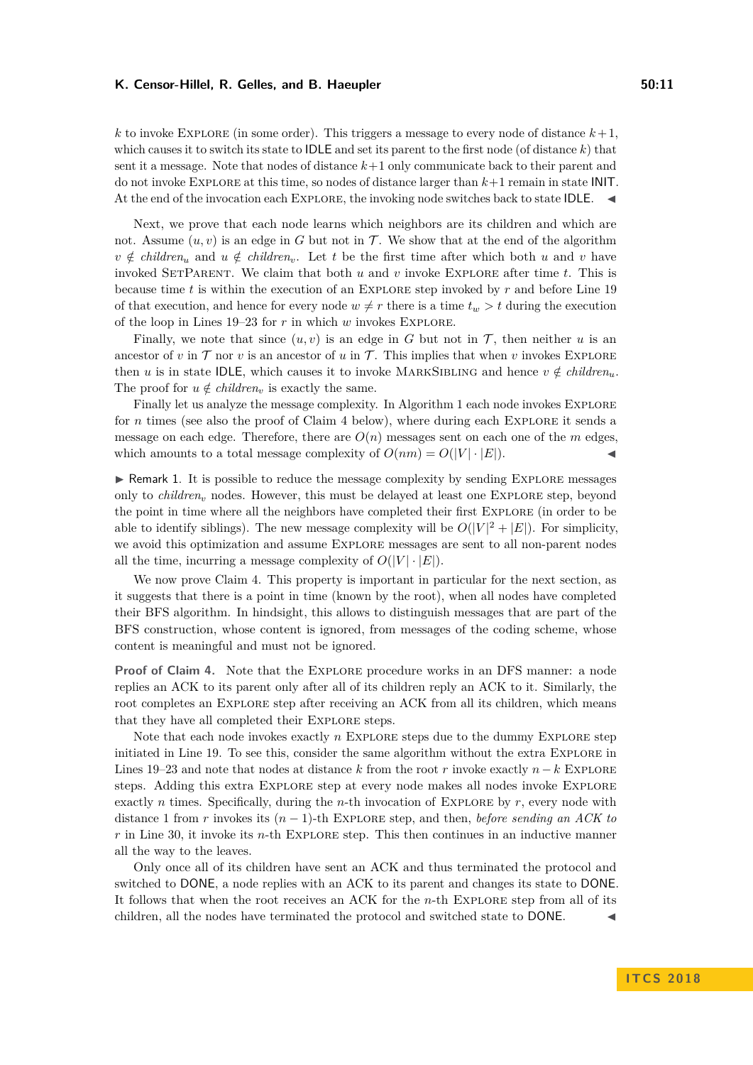#### K. Censor-Hillel, R. Gelles, and B. Haeupler **50:11** 50:11

 $k$  to invoke EXPLORE (in some order). This triggers a message to every node of distance  $k+1$ . which causes it to switch its state to **IDLE** and set its parent to the first node (of distance  $k$ ) that sent it a message. Note that nodes of distance *k*+1 only communicate back to their parent and do not invoke Explore at this time, so nodes of distance larger than *k*+1 remain in state INIT. At the end of the invocation each EXPLORE, the invoking node switches back to state IDLE.  $\blacktriangleleft$ 

Next, we prove that each node learns which neighbors are its children and which are not. Assume  $(u, v)$  is an edge in *G* but not in *T*. We show that at the end of the algorithm  $v \notin \text{children}_u$  and  $u \notin \text{children}_v$ . Let *t* be the first time after which both *u* and *v* have invoked SetParent. We claim that both *u* and *v* invoke Explore after time *t*. This is because time *t* is within the execution of an Explore step invoked by *r* and before Line [19](#page-9-0) of that execution, and hence for every node  $w \neq r$  there is a time  $t_w > t$  during the execution of the loop in Lines [19–23](#page-9-0) for *r* in which *w* invokes Explore.

Finally, we note that since  $(u, v)$  is an edge in *G* but not in *T*, then neither *u* is an ancestor of *v* in  $\mathcal T$  nor *v* is an ancestor of *u* in  $\mathcal T$ . This implies that when *v* invokes EXPLORE then *u* is in state IDLE, which causes it to invoke MARKSIBLING and hence  $v \notin children_u$ . The proof for  $u \notin children_v$  is exactly the same.

Finally let us analyze the message complexity. In Algorithm 1 each node invokes EXPLORE for *n* times (see also the proof of Claim [4](#page-8-3) below), where during each EXPLORE it sends a message on each edge. Therefore, there are  $O(n)$  messages sent on each one of the  $m$  edges, which amounts to a total message complexity of  $O(nm) = O(|V| \cdot |E|)$ .

<span id="page-10-0"></span> $\triangleright$  Remark 1. It is possible to reduce the message complexity by sending EXPLORE messages only to *children<sup>v</sup>* nodes. However, this must be delayed at least one Explore step, beyond the point in time where all the neighbors have completed their first Explore (in order to be able to identify siblings). The new message complexity will be  $O(|V|^2 + |E|)$ . For simplicity, we avoid this optimization and assume Explore messages are sent to all non-parent nodes all the time, incurring a message complexity of  $O(|V| \cdot |E|)$ .

We now prove Claim [4.](#page-8-3) This property is important in particular for the next section, as it suggests that there is a point in time (known by the root), when all nodes have completed their BFS algorithm. In hindsight, this allows to distinguish messages that are part of the BFS construction, whose content is ignored, from messages of the coding scheme, whose content is meaningful and must not be ignored.

**Proof of Claim [4.](#page-8-3)** Note that the Explore procedure works in an DFS manner: a node replies an ACK to its parent only after all of its children reply an ACK to it. Similarly, the root completes an EXPLORE step after receiving an ACK from all its children, which means that they have all completed their Explore steps.

Note that each node invokes exactly *n* EXPLORE steps due to the dummy EXPLORE step initiated in Line [19.](#page-9-0) To see this, consider the same algorithm without the extra Explore in Lines [19–23](#page-9-0) and note that nodes at distance *k* from the root *r* invoke exactly  $n - k$  EXPLORE steps. Adding this extra Explore step at every node makes all nodes invoke Explore exactly *n* times. Specifically, during the *n*-th invocation of EXPLORE by  $r$ , every node with distance 1 from *r* invokes its  $(n-1)$ -th EXPLORE step, and then, *before sending an ACK to r* in Line [30,](#page-9-0) it invoke its *n*-th Explore step. This then continues in an inductive manner all the way to the leaves.

Only once all of its children have sent an ACK and thus terminated the protocol and switched to DONE, a node replies with an ACK to its parent and changes its state to DONE. It follows that when the root receives an ACK for the *n*-th Explore step from all of its children, all the nodes have terminated the protocol and switched state to  $DONE$ .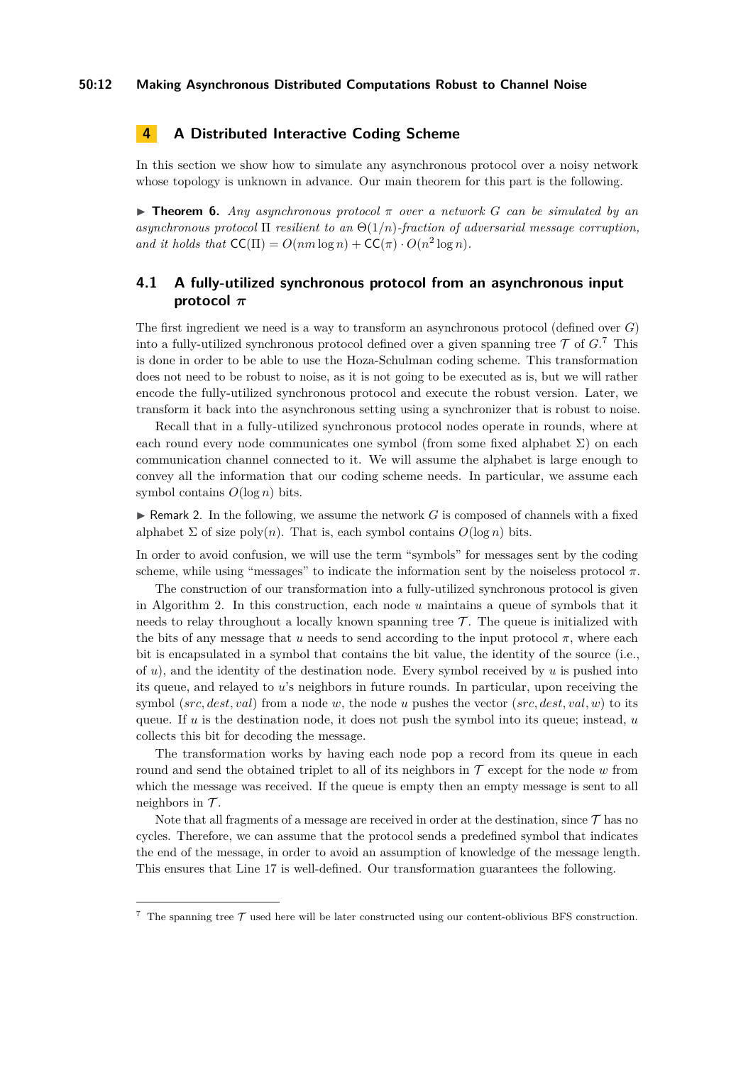# **4 A Distributed Interactive Coding Scheme**

In this section we show how to simulate any asynchronous protocol over a noisy network whose topology is unknown in advance. Our main theorem for this part is the following.

<span id="page-11-2"></span>**Findment 6.** *Any asynchronous protocol*  $\pi$  *over a network G can be simulated by an asynchronous protocol* Π *resilient to an* Θ(1*/n*)*-fraction of adversarial message corruption, and it holds that*  $CC(\Pi) = O(nm \log n) + CC(\pi) \cdot O(n^2 \log n)$ .

# **4.1 A fully-utilized synchronous protocol from an asynchronous input protocol** *π*

The first ingredient we need is a way to transform an asynchronous protocol (defined over *G*) into a fully-utilized synchronous protocol defined over a given spanning tree  $\mathcal T$  of  $G$ <sup>[7](#page-11-0)</sup>. This is done in order to be able to use the Hoza-Schulman coding scheme. This transformation does not need to be robust to noise, as it is not going to be executed as is, but we will rather encode the fully-utilized synchronous protocol and execute the robust version. Later, we transform it back into the asynchronous setting using a synchronizer that is robust to noise.

Recall that in a fully-utilized synchronous protocol nodes operate in rounds, where at each round every node communicates one symbol (from some fixed alphabet  $\Sigma$ ) on each communication channel connected to it. We will assume the alphabet is large enough to convey all the information that our coding scheme needs. In particular, we assume each symbol contains  $O(\log n)$  bits.

<span id="page-11-1"></span>**IF** Remark 2. In the following, we assume the network  $G$  is composed of channels with a fixed alphabet  $\Sigma$  of size poly(*n*). That is, each symbol contains  $O(\log n)$  bits.

In order to avoid confusion, we will use the term "symbols" for messages sent by the coding scheme, while using "messages" to indicate the information sent by the noiseless protocol  $\pi$ .

The construction of our transformation into a fully-utilized synchronous protocol is given in Algorithm [2.](#page-12-0) In this construction, each node *u* maintains a queue of symbols that it needs to relay throughout a locally known spanning tree  $\mathcal{T}$ . The queue is initialized with the bits of any message that *u* needs to send according to the input protocol  $\pi$ , where each bit is encapsulated in a symbol that contains the bit value, the identity of the source (i.e., of *u*), and the identity of the destination node. Every symbol received by *u* is pushed into its queue, and relayed to *u*'s neighbors in future rounds. In particular, upon receiving the symbol (*src, dest, val*) from a node *w*, the node *u* pushes the vector (*src, dest, val, w*) to its queue. If *u* is the destination node, it does not push the symbol into its queue; instead, *u* collects this bit for decoding the message.

The transformation works by having each node pop a record from its queue in each round and send the obtained triplet to all of its neighbors in  $\mathcal T$  except for the node  $w$  from which the message was received. If the queue is empty then an empty message is sent to all neighbors in  $\mathcal{T}$ .

Note that all fragments of a message are received in order at the destination, since  $\mathcal{T}$  has no cycles. Therefore, we can assume that the protocol sends a predefined symbol that indicates the end of the message, in order to avoid an assumption of knowledge of the message length. This ensures that Line [17](#page-12-0) is well-defined. Our transformation guarantees the following.

<span id="page-11-0"></span> $7$  The spanning tree  $\mathcal T$  used here will be later constructed using our content-oblivious BFS construction.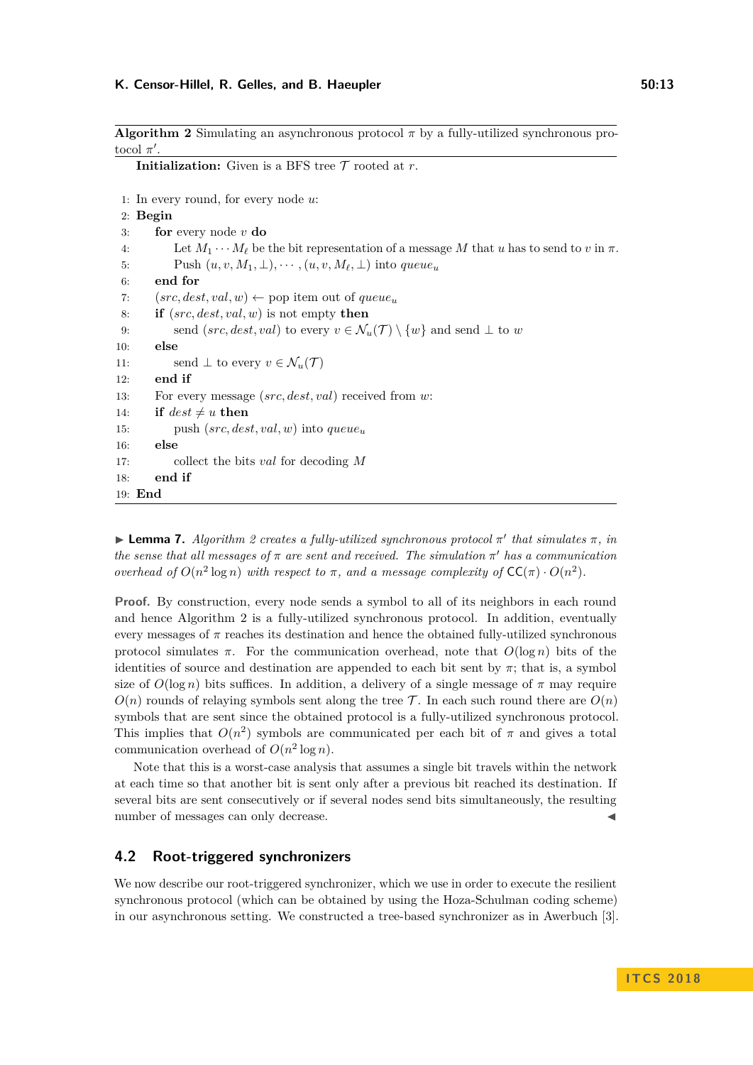#### **K. Censor-Hillel, R. Gelles, and B. Haeupler 50:13**

<span id="page-12-0"></span>**Algorithm 2** Simulating an asynchronous protocol  $\pi$  by a fully-utilized synchronous protocol  $\pi'$ .

**Initialization:** Given is a BFS tree  $\mathcal T$  rooted at  $r$ .

```
1: In every round, for every node u:
2: Begin
3: for every node v do
4: Let M_1 \cdots M_\ell be the bit representation of a message M that u has to send to v in \pi.
5: Push (u, v, M_1, \perp), \cdots, (u, v, M_\ell, \perp) into queue<sub>u</sub>
6: end for
7: (src, dest, val, w) \leftarrow pop item out of queue<sub>u</sub>8: if (src, dest, val, w) is not empty then
9: send (src, dest, val) to every v \in \mathcal{N}_u(\mathcal{T}) \setminus \{w\} and send \perp to w
10: else
11: send \perp to every v \in \mathcal{N}_u(\mathcal{T})12: end if
13: For every message (src, dest, val) received from w:
14: if dest \neq u then
15: push (src, dest, val, w) into queueu
16: else
17: collect the bits val for decoding M
18: end if
19: End
```
<span id="page-12-1"></span> $\blacktriangleright$  **Lemma 7.** *Algorithm [2](#page-12-0) creates a fully-utilized synchronous protocol*  $\pi'$  *that simulates*  $\pi$ *, in the sense that all messages of*  $\pi$  *are sent and received. The simulation*  $\pi'$  *has a communication overhead of*  $O(n^2 \log n)$  *with respect to*  $\pi$ *, and a message complexity of*  $CC(\pi) \cdot O(n^2)$ *.* 

**Proof.** By construction, every node sends a symbol to all of its neighbors in each round and hence Algorithm [2](#page-12-0) is a fully-utilized synchronous protocol. In addition, eventually every messages of  $\pi$  reaches its destination and hence the obtained fully-utilized synchronous protocol simulates  $\pi$ . For the communication overhead, note that  $O(\log n)$  bits of the identities of source and destination are appended to each bit sent by  $\pi$ ; that is, a symbol size of  $O(\log n)$  bits suffices. In addition, a delivery of a single message of  $\pi$  may require  $O(n)$  rounds of relaying symbols sent along the tree  $\mathcal T$ . In each such round there are  $O(n)$ symbols that are sent since the obtained protocol is a fully-utilized synchronous protocol. This implies that  $O(n^2)$  symbols are communicated per each bit of  $\pi$  and gives a total communication overhead of  $O(n^2 \log n)$ .

Note that this is a worst-case analysis that assumes a single bit travels within the network at each time so that another bit is sent only after a previous bit reached its destination. If several bits are sent consecutively or if several nodes send bits simultaneously, the resulting number of messages can only decrease.

# **4.2 Root-triggered synchronizers**

We now describe our root-triggered synchronizer, which we use in order to execute the resilient synchronous protocol (which can be obtained by using the Hoza-Schulman coding scheme) in our asynchronous setting. We constructed a tree-based synchronizer as in Awerbuch [\[3\]](#page-17-3).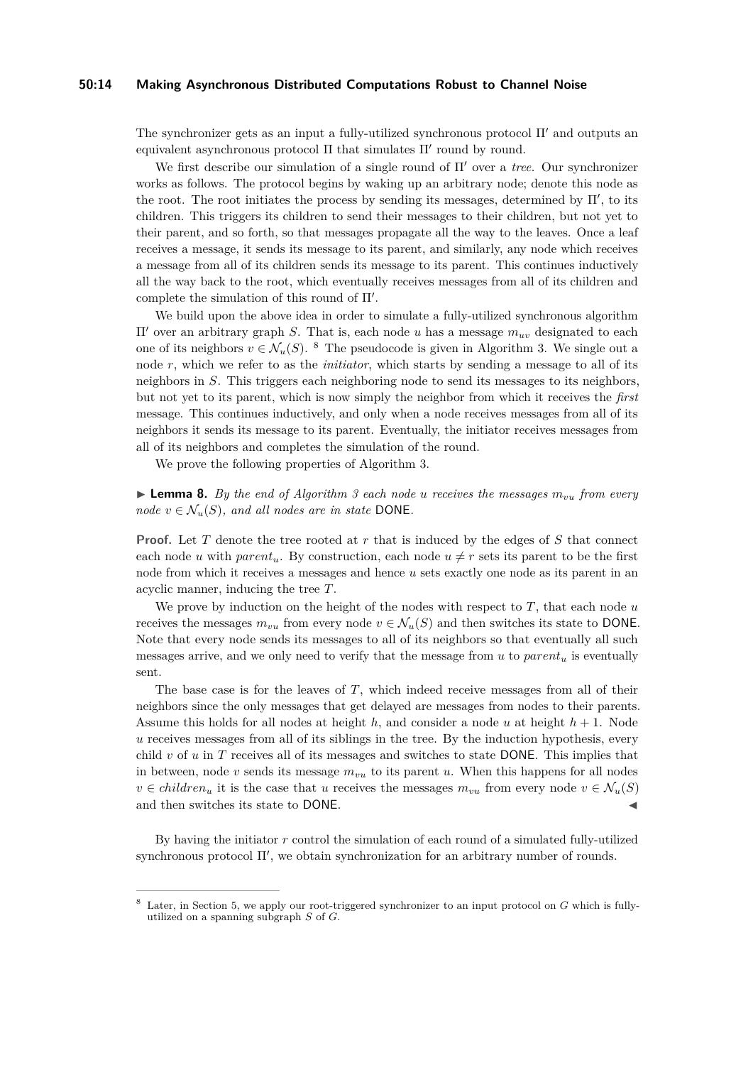#### **50:14 Making Asynchronous Distributed Computations Robust to Channel Noise**

The synchronizer gets as an input a fully-utilized synchronous protocol  $\Pi'$  and outputs an equivalent asynchronous protocol  $\Pi$  that simulates  $\Pi'$  round by round.

We first describe our simulation of a single round of Π' over a *tree*. Our synchronizer works as follows. The protocol begins by waking up an arbitrary node; denote this node as the root. The root initiates the process by sending its messages, determined by  $\Pi'$ , to its children. This triggers its children to send their messages to their children, but not yet to their parent, and so forth, so that messages propagate all the way to the leaves. Once a leaf receives a message, it sends its message to its parent, and similarly, any node which receives a message from all of its children sends its message to its parent. This continues inductively all the way back to the root, which eventually receives messages from all of its children and complete the simulation of this round of  $\Pi'$ .

We build upon the above idea in order to simulate a fully-utilized synchronous algorithm  $\Pi'$  over an arbitrary graph *S*. That is, each node *u* has a message  $m_{uv}$  designated to each one of its neighbors  $v \in \mathcal{N}_u(S)$ . <sup>[8](#page-13-0)</sup> The pseudocode is given in Algorithm [3.](#page-14-0) We single out a node *r*, which we refer to as the *initiator*, which starts by sending a message to all of its neighbors in *S*. This triggers each neighboring node to send its messages to its neighbors, but not yet to its parent, which is now simply the neighbor from which it receives the *first* message. This continues inductively, and only when a node receives messages from all of its neighbors it sends its message to its parent. Eventually, the initiator receives messages from all of its neighbors and completes the simulation of the round.

We prove the following properties of Algorithm [3.](#page-14-0)

 $\blacktriangleright$  **Lemma 8.** By the end of Algorithm [3](#page-14-0) each node *u* receives the messages  $m_{vu}$  from every *node*  $v \in \mathcal{N}_u(S)$ *, and all nodes are in state* DONE.

**Proof.** Let *T* denote the tree rooted at *r* that is induced by the edges of *S* that connect each node *u* with *parent<sub>u</sub>*. By construction, each node  $u \neq r$  sets its parent to be the first node from which it receives a messages and hence *u* sets exactly one node as its parent in an acyclic manner, inducing the tree *T*.

We prove by induction on the height of the nodes with respect to *T*, that each node *u* receives the messages  $m_{vu}$  from every node  $v \in \mathcal{N}_u(S)$  and then switches its state to DONE. Note that every node sends its messages to all of its neighbors so that eventually all such messages arrive, and we only need to verify that the message from  $u$  to  $parent_u$  is eventually sent.

The base case is for the leaves of *T*, which indeed receive messages from all of their neighbors since the only messages that get delayed are messages from nodes to their parents. Assume this holds for all nodes at height  $h$ , and consider a node  $u$  at height  $h + 1$ . Node *u* receives messages from all of its siblings in the tree. By the induction hypothesis, every child *v* of *u* in *T* receives all of its messages and switches to state DONE. This implies that in between, node *v* sends its message *mvu* to its parent *u*. When this happens for all nodes  $v \in children_u$  it is the case that *u* receives the messages  $m_{vu}$  from every node  $v \in \mathcal{N}_u(S)$ and then switches its state to DONE.

By having the initiator *r* control the simulation of each round of a simulated fully-utilized synchronous protocol  $\Pi'$ , we obtain synchronization for an arbitrary number of rounds.

<span id="page-13-0"></span>Later, in Section [5,](#page-16-0) we apply our root-triggered synchronizer to an input protocol on *G* which is fullyutilized on a spanning subgraph *S* of *G*.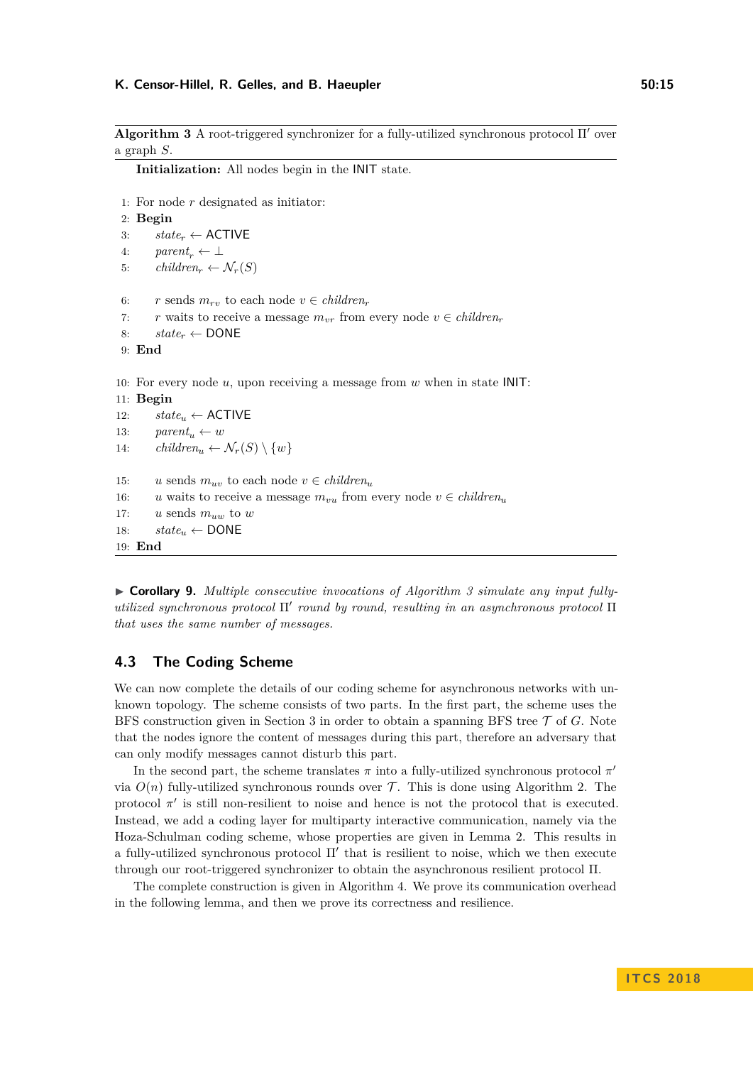#### **K. Censor-Hillel, R. Gelles, and B. Haeupler 50:15**

<span id="page-14-0"></span>**Algorithm 3** A root-triggered synchronizer for a fully-utilized synchronous protocol  $\Pi'$  over a graph *S*.

**Initialization:** All nodes begin in the INIT state.

```
1: For node r designated as initiator:
 2: Begin
 3: state_r \leftarrow ACTIVE
 4: parent_r \leftarrow \perp5: children<sub>r</sub> \leftarrow \mathcal{N}_r(S)6: r sends m_{rv} to each node v \in children_r7: r waits to receive a message m_{vr} from every node v \in children_r8: state_r \leftarrow \text{DONE}9: End
10: For every node u, upon receiving a message from w when in state INIT:
11: Begin
12: state_u \leftarrow ACTIVE
13: parent_u \leftarrow w14: children<sub>u</sub> \leftarrow \mathcal{N}_r(S) \setminus \{w\}15: u sends m_{uv} to each node v \in children_u16: u waits to receive a message m_{vu} from every node v \in children_u17: u \text{ sends } m_{uw} to w18: state_u \leftarrow \text{DONE}19: End
```
<span id="page-14-1"></span>▶ Corollary 9. *Multiple consecutive invocations of Algorithm [3](#page-14-0) simulate any input fullyutilized synchronous protocol* Π' *round by round, resulting in an asynchronous protocol* Π *that uses the same number of messages.*

# **4.3 The Coding Scheme**

We can now complete the details of our coding scheme for asynchronous networks with unknown topology. The scheme consists of two parts. In the first part, the scheme uses the BFS construction given in Section [3](#page-7-1) in order to obtain a spanning BFS tree T of *G*. Note that the nodes ignore the content of messages during this part, therefore an adversary that can only modify messages cannot disturb this part.

In the second part, the scheme translates  $\pi$  into a fully-utilized synchronous protocol  $\pi'$ via  $O(n)$  fully-utilized synchronous rounds over  $\mathcal T$ . This is done using Algorithm [2.](#page-12-0) The protocol  $\pi'$  is still non-resilient to noise and hence is not the protocol that is executed. Instead, we add a coding layer for multiparty interactive communication, namely via the Hoza-Schulman coding scheme, whose properties are given in Lemma [2.](#page-7-0) This results in a fully-utilized synchronous protocol  $\Pi'$  that is resilient to noise, which we then execute through our root-triggered synchronizer to obtain the asynchronous resilient protocol Π.

The complete construction is given in Algorithm [4.](#page-15-0) We prove its communication overhead in the following lemma, and then we prove its correctness and resilience.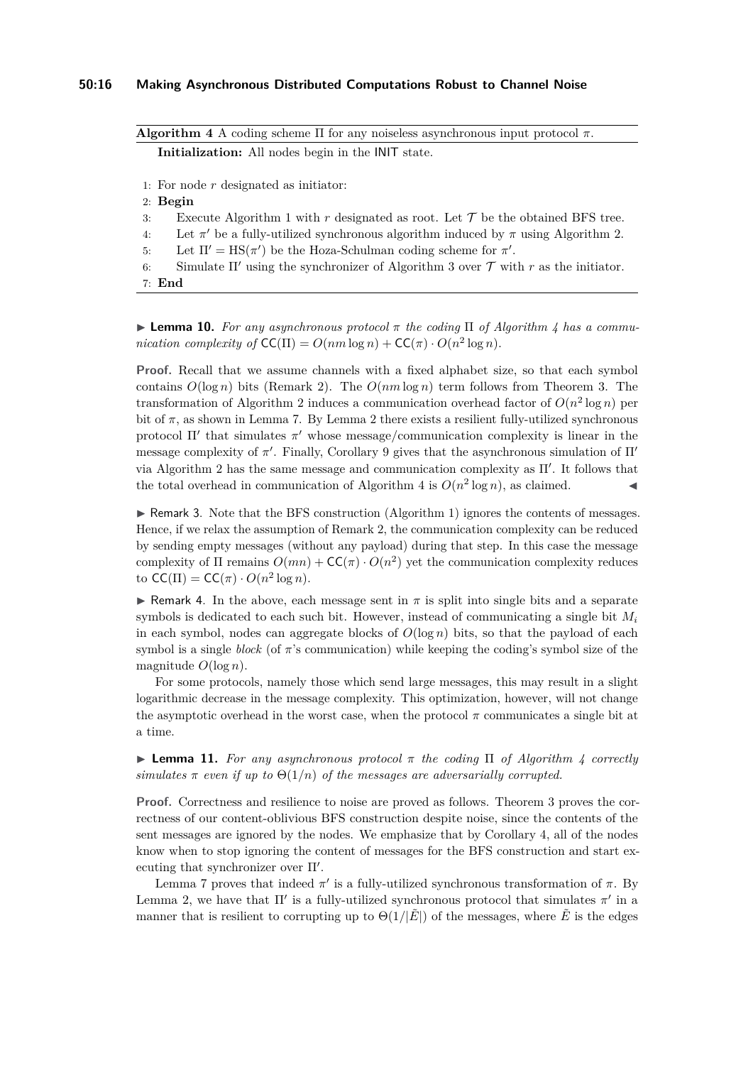#### **50:16 Making Asynchronous Distributed Computations Robust to Channel Noise**

<span id="page-15-0"></span>**Algorithm 4** A coding scheme Π for any noiseless asynchronous input protocol  $\pi$ . **Initialization:** All nodes begin in the INIT state.

- 1: For node *r* designated as initiator:
- 2: **Begin**
- 3: Execute Algorithm 1 with  $r$  designated as root. Let  $\mathcal T$  be the obtained BFS tree.
- 4: Let  $\pi'$  be a fully-utilized synchronous algorithm induced by  $\pi$  using Algorithm [2.](#page-12-0)
- 5: Let  $\Pi' = \text{HS}(\pi')$  be the Hoza-Schulman coding scheme for  $\pi'$ .
- 6: Simulate  $\Pi'$  using the synchronizer of Algorithm [3](#page-14-0) over  $\mathcal T$  with  $r$  as the initiator.
- 7: **End**

<span id="page-15-1"></span>I **Lemma 10.** *For any asynchronous protocol π the coding* Π *of Algorithm [4](#page-15-0) has a communication complexity of*  $CC(\Pi) = O(nm \log n) + CC(\pi) \cdot O(n^2 \log n)$ .

**Proof.** Recall that we assume channels with a fixed alphabet size, so that each symbol contains  $O(\log n)$  bits (Remark [2\)](#page-11-1). The  $O(nm \log n)$  term follows from Theorem [3.](#page-8-2) The transformation of Algorithm [2](#page-12-0) induces a communication overhead factor of  $O(n^2 \log n)$  per bit of  $\pi$ , as shown in Lemma [7.](#page-12-1) By Lemma [2](#page-7-0) there exists a resilient fully-utilized synchronous protocol  $\Pi'$  that simulates  $\pi'$  whose message/communication complexity is linear in the message complexity of  $\pi'$ . Finally, Corollary [9](#page-14-1) gives that the asynchronous simulation of  $\Pi'$ via Algorithm [2](#page-12-0) has the same message and communication complexity as  $\Pi'$ . It follows that the total overhead in communication of Algorithm [4](#page-15-0) is  $O(n^2 \log n)$ , as claimed.

 $\triangleright$  Remark 3. Note that the BFS construction (Algorithm 1) ignores the contents of messages. Hence, if we relax the assumption of Remark [2,](#page-11-1) the communication complexity can be reduced by sending empty messages (without any payload) during that step. In this case the message complexity of  $\Pi$  remains  $O(mn) + CC(\pi) \cdot O(n^2)$  yet the communication complexity reduces to  $CC(\Pi) = CC(\pi) \cdot O(n^2 \log n)$ .

**I** Remark 4. In the above, each message sent in  $\pi$  is split into single bits and a separate symbols is dedicated to each such bit. However, instead of communicating a single bit *M<sup>i</sup>* in each symbol, nodes can aggregate blocks of  $O(\log n)$  bits, so that the payload of each symbol is a single *block* (of  $\pi$ 's communication) while keeping the coding's symbol size of the magnitude  $O(\log n)$ .

For some protocols, namely those which send large messages, this may result in a slight logarithmic decrease in the message complexity. This optimization, however, will not change the asymptotic overhead in the worst case, when the protocol  $\pi$  communicates a single bit at a time.

<span id="page-15-2"></span>**I Lemma 11.** For any asynchronous protocol  $\pi$  the coding  $\Pi$  of Algorithm [4](#page-15-0) correctly *simulates*  $\pi$  *even if up to*  $\Theta(1/n)$  *of the messages are adversarially corrupted.* 

**Proof.** Correctness and resilience to noise are proved as follows. Theorem [3](#page-8-2) proves the correctness of our content-oblivious BFS construction despite noise, since the contents of the sent messages are ignored by the nodes. We emphasize that by Corollary [4,](#page-8-3) all of the nodes know when to stop ignoring the content of messages for the BFS construction and start executing that synchronizer over  $\Pi'$ .

Lemma [7](#page-12-1) proves that indeed  $π'$  is a fully-utilized synchronous transformation of  $π$ . By Lemma [2,](#page-7-0) we have that  $\Pi'$  is a fully-utilized synchronous protocol that simulates  $\pi'$  in a manner that is resilient to corrupting up to  $\Theta(1/|\vec{E}|)$  of the messages, where  $\vec{E}$  is the edges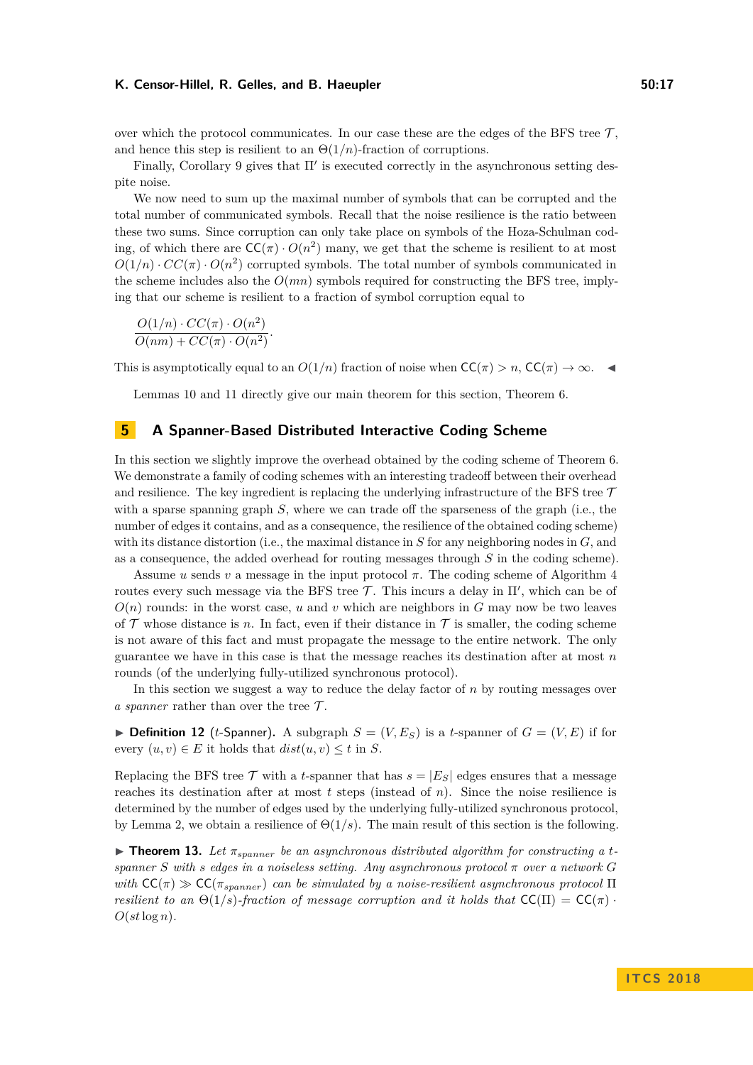#### **K. Censor-Hillel, R. Gelles, and B. Haeupler 50:17**

over which the protocol communicates. In our case these are the edges of the BFS tree  $\mathcal{T}$ , and hence this step is resilient to an  $\Theta(1/n)$ -fraction of corruptions.

Finally, Corollary [9](#page-14-1) gives that  $\Pi'$  is executed correctly in the asynchronous setting despite noise.

We now need to sum up the maximal number of symbols that can be corrupted and the total number of communicated symbols. Recall that the noise resilience is the ratio between these two sums. Since corruption can only take place on symbols of the Hoza-Schulman coding, of which there are  $CC(\pi) \cdot O(n^2)$  many, we get that the scheme is resilient to at most  $O(1/n) \cdot CC(\pi) \cdot O(n^2)$  corrupted symbols. The total number of symbols communicated in the scheme includes also the  $O(mn)$  symbols required for constructing the BFS tree, implying that our scheme is resilient to a fraction of symbol corruption equal to

$$
\frac{O(1/n) \cdot CC(\pi) \cdot O(n^2)}{O(nm) + CC(\pi) \cdot O(n^2)}
$$

*.*

This is asymptotically equal to an  $O(1/n)$  fraction of noise when  $CC(\pi) > n$ ,  $CC(\pi) \rightarrow \infty$ .

Lemmas [10](#page-15-1) and [11](#page-15-2) directly give our main theorem for this section, Theorem [6.](#page-11-2)

# <span id="page-16-0"></span>**5 A Spanner-Based Distributed Interactive Coding Scheme**

In this section we slightly improve the overhead obtained by the coding scheme of Theorem [6.](#page-11-2) We demonstrate a family of coding schemes with an interesting tradeoff between their overhead and resilience. The key ingredient is replacing the underlying infrastructure of the BFS tree  $\mathcal T$ with a sparse spanning graph *S*, where we can trade off the sparseness of the graph (i.e., the number of edges it contains, and as a consequence, the resilience of the obtained coding scheme) with its distance distortion (i.e., the maximal distance in *S* for any neighboring nodes in *G*, and as a consequence, the added overhead for routing messages through *S* in the coding scheme).

Assume *u* sends *v* a message in the input protocol *π*. The coding scheme of Algorithm [4](#page-15-0) routes every such message via the BFS tree  $\mathcal{T}$ . This incurs a delay in  $\Pi'$ , which can be of  $O(n)$  rounds: in the worst case, *u* and *v* which are neighbors in *G* may now be two leaves of  $\mathcal T$  whose distance is *n*. In fact, even if their distance in  $\mathcal T$  is smaller, the coding scheme is not aware of this fact and must propagate the message to the entire network. The only guarantee we have in this case is that the message reaches its destination after at most *n* rounds (of the underlying fully-utilized synchronous protocol).

In this section we suggest a way to reduce the delay factor of *n* by routing messages over *a spanner* rather than over the tree  $\mathcal{T}$ .

**Definition 12** (*t*-Spanner). A subgraph  $S = (V, E_S)$  is a *t*-spanner of  $G = (V, E)$  if for every  $(u, v) \in E$  it holds that  $dist(u, v) \leq t$  in *S*.

Replacing the BFS tree  $\mathcal T$  with a *t*-spanner that has  $s = |E_S|$  edges ensures that a message reaches its destination after at most  $t$  steps (instead of  $n$ ). Since the noise resilience is determined by the number of edges used by the underlying fully-utilized synchronous protocol, by Lemma [2,](#page-7-0) we obtain a resilience of Θ(1*/s*). The main result of this section is the following.

 $\triangleright$  **Theorem 13.** Let  $\pi_{spanner}$  be an asynchronous distributed algorithm for constructing a t*spanner S* with *s* edges in a noiseless setting. Any asynchronous protocol  $\pi$  over a network G *with*  $\mathsf{CC}(\pi) \gg \mathsf{CC}(\pi_{spanner})$  *can be simulated by a noise-resilient asynchronous protocol*  $\Pi$ *resilient to an*  $\Theta(1/s)$ -fraction of message corruption and it holds that  $\mathsf{CC}(\Pi) = \mathsf{CC}(\pi)$ .  $O(st \log n)$ .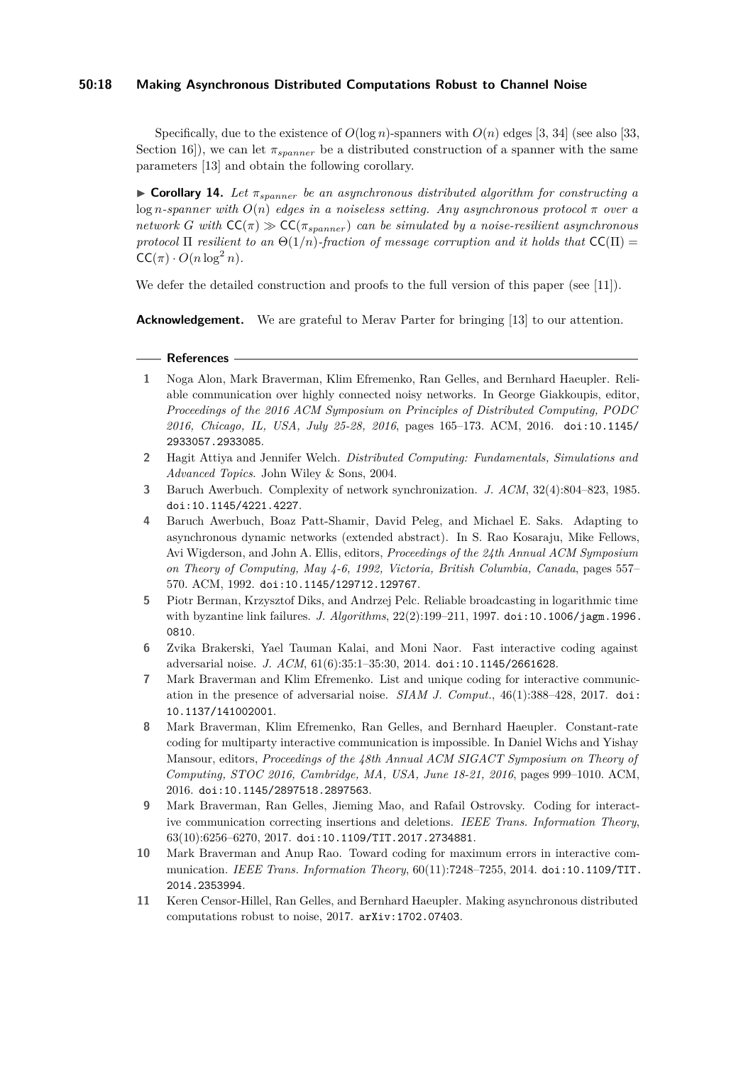## **50:18 Making Asynchronous Distributed Computations Robust to Channel Noise**

Specifically, due to the existence of  $O(\log n)$ -spanners with  $O(n)$  edges [\[3,](#page-17-3) [34\]](#page-19-10) (see also [\[33,](#page-19-9) Section 16]), we can let  $\pi_{spanner}$  be a distributed construction of a spanner with the same parameters [\[13\]](#page-18-2) and obtain the following corollary.

**Corollary 14.** Let  $\pi_{spanner}$  be an asynchronous distributed algorithm for constructing a log *n*-spanner with  $O(n)$  edges in a noiseless setting. Any asynchronous protocol  $\pi$  over a *network G with*  $CC(\pi) \gg CC(\pi_{spanner})$  *can be simulated by a noise-resilient asynchronous protocol*  $\Pi$  *resilient to an*  $\Theta(1/n)$ *-fraction of message corruption and it holds that*  $CC(\Pi)$  $CC(\pi) \cdot O(n \log^2 n)$ .

We defer the detailed construction and proofs to the full version of this paper (see [\[11\]](#page-17-1)).

**Acknowledgement.** We are grateful to Merav Parter for bringing [\[13\]](#page-18-2) to our attention.

#### **References**

- <span id="page-17-2"></span>**1** Noga Alon, Mark Braverman, Klim Efremenko, Ran Gelles, and Bernhard Haeupler. Reliable communication over highly connected noisy networks. In George Giakkoupis, editor, *Proceedings of the 2016 ACM Symposium on Principles of Distributed Computing, PODC 2016, Chicago, IL, USA, July 25-28, 2016*, pages 165–173. ACM, 2016. [doi:10.1145/](http://dx.doi.org/10.1145/2933057.2933085) [2933057.2933085](http://dx.doi.org/10.1145/2933057.2933085).
- <span id="page-17-0"></span>**2** Hagit Attiya and Jennifer Welch. *Distributed Computing: Fundamentals, Simulations and Advanced Topics*. John Wiley & Sons, 2004.
- <span id="page-17-3"></span>**3** Baruch Awerbuch. Complexity of network synchronization. *J. ACM*, 32(4):804–823, 1985. [doi:10.1145/4221.4227](http://dx.doi.org/10.1145/4221.4227).
- <span id="page-17-10"></span>**4** Baruch Awerbuch, Boaz Patt-Shamir, David Peleg, and Michael E. Saks. Adapting to asynchronous dynamic networks (extended abstract). In S. Rao Kosaraju, Mike Fellows, Avi Wigderson, and John A. Ellis, editors, *Proceedings of the 24th Annual ACM Symposium on Theory of Computing, May 4-6, 1992, Victoria, British Columbia, Canada*, pages 557– 570. ACM, 1992. [doi:10.1145/129712.129767](http://dx.doi.org/10.1145/129712.129767).
- <span id="page-17-9"></span>**5** Piotr Berman, Krzysztof Diks, and Andrzej Pelc. Reliable broadcasting in logarithmic time with byzantine link failures. *J. Algorithms*, 22(2):199–211, 1997. [doi:10.1006/jagm.1996.](http://dx.doi.org/10.1006/jagm.1996.0810) [0810](http://dx.doi.org/10.1006/jagm.1996.0810).
- <span id="page-17-5"></span>**6** Zvika Brakerski, Yael Tauman Kalai, and Moni Naor. Fast interactive coding against adversarial noise. *J. ACM*, 61(6):35:1–35:30, 2014. [doi:10.1145/2661628](http://dx.doi.org/10.1145/2661628).
- <span id="page-17-6"></span>**7** Mark Braverman and Klim Efremenko. List and unique coding for interactive communication in the presence of adversarial noise. *SIAM J. Comput.*, 46(1):388–428, 2017. [doi:](http://dx.doi.org/10.1137/141002001) [10.1137/141002001](http://dx.doi.org/10.1137/141002001).
- <span id="page-17-8"></span>**8** Mark Braverman, Klim Efremenko, Ran Gelles, and Bernhard Haeupler. Constant-rate coding for multiparty interactive communication is impossible. In Daniel Wichs and Yishay Mansour, editors, *Proceedings of the 48th Annual ACM SIGACT Symposium on Theory of Computing, STOC 2016, Cambridge, MA, USA, June 18-21, 2016*, pages 999–1010. ACM, 2016. [doi:10.1145/2897518.2897563](http://dx.doi.org/10.1145/2897518.2897563).
- <span id="page-17-7"></span>**9** Mark Braverman, Ran Gelles, Jieming Mao, and Rafail Ostrovsky. Coding for interactive communication correcting insertions and deletions. *IEEE Trans. Information Theory*, 63(10):6256–6270, 2017. [doi:10.1109/TIT.2017.2734881](http://dx.doi.org/10.1109/TIT.2017.2734881).
- <span id="page-17-4"></span>**10** Mark Braverman and Anup Rao. Toward coding for maximum errors in interactive communication. *IEEE Trans. Information Theory*, 60(11):7248–7255, 2014. [doi:10.1109/TIT.](http://dx.doi.org/10.1109/TIT.2014.2353994) [2014.2353994](http://dx.doi.org/10.1109/TIT.2014.2353994).
- <span id="page-17-1"></span>**11** Keren Censor-Hillel, Ran Gelles, and Bernhard Haeupler. Making asynchronous distributed computations robust to noise, 2017. [arXiv:1702.07403](http://arxiv.org/abs/1702.07403).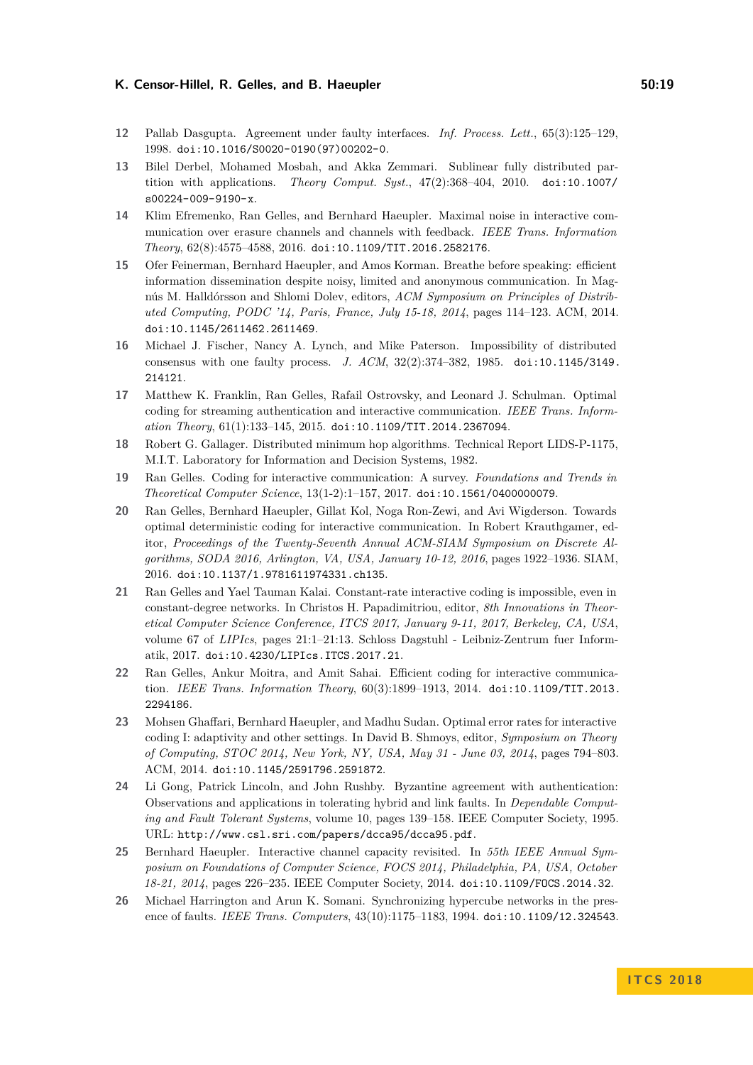#### K. Censor-Hillel, R. Gelles, and B. Haeupler **60:19 50:19**

- <span id="page-18-10"></span>**12** Pallab Dasgupta. Agreement under faulty interfaces. *Inf. Process. Lett.*, 65(3):125–129, 1998. [doi:10.1016/S0020-0190\(97\)00202-0](http://dx.doi.org/10.1016/S0020-0190(97)00202-0).
- <span id="page-18-2"></span>**13** Bilel Derbel, Mohamed Mosbah, and Akka Zemmari. Sublinear fully distributed partition with applications. *Theory Comput. Syst.*, 47(2):368–404, 2010. [doi:10.1007/](http://dx.doi.org/10.1007/s00224-009-9190-x) [s00224-009-9190-x](http://dx.doi.org/10.1007/s00224-009-9190-x).
- <span id="page-18-5"></span>**14** Klim Efremenko, Ran Gelles, and Bernhard Haeupler. Maximal noise in interactive communication over erasure channels and channels with feedback. *IEEE Trans. Information Theory*, 62(8):4575–4588, 2016. [doi:10.1109/TIT.2016.2582176](http://dx.doi.org/10.1109/TIT.2016.2582176).
- <span id="page-18-11"></span>**15** Ofer Feinerman, Bernhard Haeupler, and Amos Korman. Breathe before speaking: efficient information dissemination despite noisy, limited and anonymous communication. In Magnús M. Halldórsson and Shlomi Dolev, editors, *ACM Symposium on Principles of Distributed Computing, PODC '14, Paris, France, July 15-18, 2014*, pages 114–123. ACM, 2014. [doi:10.1145/2611462.2611469](http://dx.doi.org/10.1145/2611462.2611469).
- <span id="page-18-13"></span>**16** Michael J. Fischer, Nancy A. Lynch, and Mike Paterson. Impossibility of distributed consensus with one faulty process. *J. ACM*, 32(2):374–382, 1985. [doi:10.1145/3149.](http://dx.doi.org/10.1145/3149.214121) [214121](http://dx.doi.org/10.1145/3149.214121).
- <span id="page-18-4"></span>**17** Matthew K. Franklin, Ran Gelles, Rafail Ostrovsky, and Leonard J. Schulman. Optimal coding for streaming authentication and interactive communication. *IEEE Trans. Information Theory*, 61(1):133–145, 2015. [doi:10.1109/TIT.2014.2367094](http://dx.doi.org/10.1109/TIT.2014.2367094).
- <span id="page-18-14"></span>**18** Robert G. Gallager. Distributed minimum hop algorithms. Technical Report LIDS-P-1175, M.I.T. Laboratory for Information and Decision Systems, 1982.
- <span id="page-18-1"></span>**19** Ran Gelles. Coding for interactive communication: A survey. *Foundations and Trends in Theoretical Computer Science*, 13(1-2):1–157, 2017. [doi:10.1561/0400000079](http://dx.doi.org/10.1561/0400000079).
- <span id="page-18-7"></span>**20** Ran Gelles, Bernhard Haeupler, Gillat Kol, Noga Ron-Zewi, and Avi Wigderson. Towards optimal deterministic coding for interactive communication. In Robert Krauthgamer, editor, *Proceedings of the Twenty-Seventh Annual ACM-SIAM Symposium on Discrete Algorithms, SODA 2016, Arlington, VA, USA, January 10-12, 2016*, pages 1922–1936. SIAM, 2016. [doi:10.1137/1.9781611974331.ch135](http://dx.doi.org/10.1137/1.9781611974331.ch135).
- <span id="page-18-9"></span>**21** Ran Gelles and Yael Tauman Kalai. Constant-rate interactive coding is impossible, even in constant-degree networks. In Christos H. Papadimitriou, editor, *8th Innovations in Theoretical Computer Science Conference, ITCS 2017, January 9-11, 2017, Berkeley, CA, USA*, volume 67 of *LIPIcs*, pages 21:1–21:13. Schloss Dagstuhl - Leibniz-Zentrum fuer Informatik, 2017. [doi:10.4230/LIPIcs.ITCS.2017.21](http://dx.doi.org/10.4230/LIPIcs.ITCS.2017.21).
- <span id="page-18-8"></span>**22** Ran Gelles, Ankur Moitra, and Amit Sahai. Efficient coding for interactive communication. *IEEE Trans. Information Theory*, 60(3):1899–1913, 2014. [doi:10.1109/TIT.2013.](http://dx.doi.org/10.1109/TIT.2013.2294186) [2294186](http://dx.doi.org/10.1109/TIT.2013.2294186).
- <span id="page-18-3"></span>**23** Mohsen Ghaffari, Bernhard Haeupler, and Madhu Sudan. Optimal error rates for interactive coding I: adaptivity and other settings. In David B. Shmoys, editor, *Symposium on Theory of Computing, STOC 2014, New York, NY, USA, May 31 - June 03, 2014*, pages 794–803. ACM, 2014. [doi:10.1145/2591796.2591872](http://dx.doi.org/10.1145/2591796.2591872).
- <span id="page-18-0"></span>**24** Li Gong, Patrick Lincoln, and John Rushby. Byzantine agreement with authentication: Observations and applications in tolerating hybrid and link faults. In *Dependable Computing and Fault Tolerant Systems*, volume 10, pages 139–158. IEEE Computer Society, 1995. URL: <http://www.csl.sri.com/papers/dcca95/dcca95.pdf>.
- <span id="page-18-6"></span>**25** Bernhard Haeupler. Interactive channel capacity revisited. In *55th IEEE Annual Symposium on Foundations of Computer Science, FOCS 2014, Philadelphia, PA, USA, October 18-21, 2014*, pages 226–235. IEEE Computer Society, 2014. [doi:10.1109/FOCS.2014.32](http://dx.doi.org/10.1109/FOCS.2014.32).
- <span id="page-18-12"></span>**26** Michael Harrington and Arun K. Somani. Synchronizing hypercube networks in the presence of faults. *IEEE Trans. Computers*, 43(10):1175–1183, 1994. [doi:10.1109/12.324543](http://dx.doi.org/10.1109/12.324543).